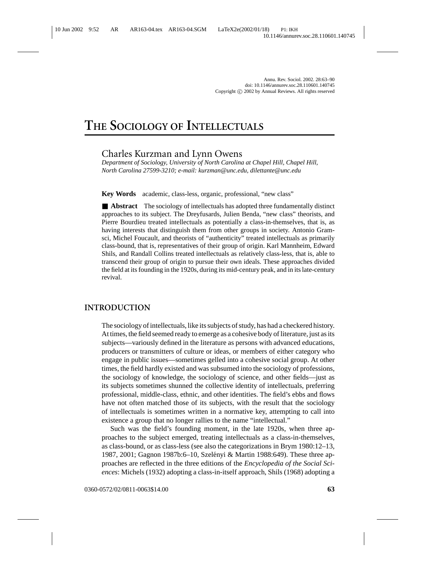# **THE SOCIOLOGY OF INTELLECTUALS**

# Charles Kurzman and Lynn Owens

*Department of Sociology, University of North Carolina at Chapel Hill, Chapel Hill, North Carolina 27599-3210; e-mail: kurzman@unc.edu, dilettante@unc.edu*

**Key Words** academic, class-less, organic, professional, "new class"

■ **Abstract** The sociology of intellectuals has adopted three fundamentally distinct approaches to its subject. The Dreyfusards, Julien Benda, "new class" theorists, and Pierre Bourdieu treated intellectuals as potentially a class-in-themselves, that is, as having interests that distinguish them from other groups in society. Antonio Gramsci, Michel Foucault, and theorists of "authenticity" treated intellectuals as primarily class-bound, that is, representatives of their group of origin. Karl Mannheim, Edward Shils, and Randall Collins treated intellectuals as relatively class-less, that is, able to transcend their group of origin to pursue their own ideals. These approaches divided the field at its founding in the 1920s, during its mid-century peak, and in its late-century revival.

# **INTRODUCTION**

The sociology of intellectuals, like its subjects of study, has had a checkered history. At times, the field seemed ready to emerge as a cohesive body of literature, just as its subjects—variously defined in the literature as persons with advanced educations, producers or transmitters of culture or ideas, or members of either category who engage in public issues—sometimes gelled into a cohesive social group. At other times, the field hardly existed and was subsumed into the sociology of professions, the sociology of knowledge, the sociology of science, and other fields—just as its subjects sometimes shunned the collective identity of intellectuals, preferring professional, middle-class, ethnic, and other identities. The field's ebbs and flows have not often matched those of its subjects, with the result that the sociology of intellectuals is sometimes written in a normative key, attempting to call into existence a group that no longer rallies to the name "intellectual."

Such was the field's founding moment, in the late 1920s, when three approaches to the subject emerged, treating intellectuals as a class-in-themselves, as class-bound, or as class-less (see also the categorizations in Brym 1980:12–13, 1987, 2001; Gagnon 1987b:6–10, Szelényi & Martin 1988:649). These three approaches are reflected in the three editions of the *Encyclopedia of the Social Sciences*: Michels (1932) adopting a class-in-itself approach, Shils (1968) adopting a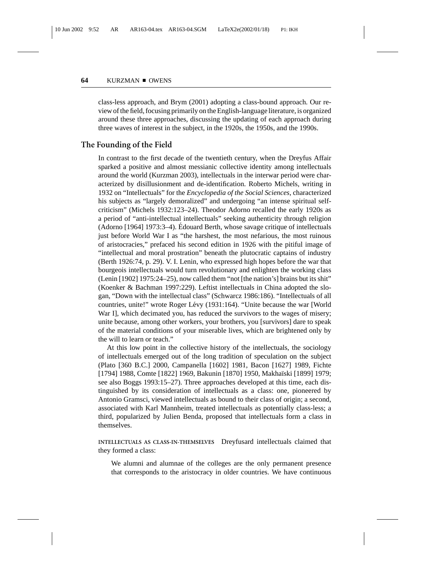class-less approach, and Brym (2001) adopting a class-bound approach. Our review of the field, focusing primarily on the English-language literature, is organized around these three approaches, discussing the updating of each approach during three waves of interest in the subject, in the 1920s, the 1950s, and the 1990s.

# **The Founding of the Field**

In contrast to the first decade of the twentieth century, when the Dreyfus Affair sparked a positive and almost messianic collective identity among intellectuals around the world (Kurzman 2003), intellectuals in the interwar period were characterized by disillusionment and de-identification. Roberto Michels, writing in 1932 on "Intellectuals" for the *Encyclopedia of the Social Sciences*, characterized his subjects as "largely demoralized" and undergoing "an intense spiritual selfcriticism" (Michels 1932:123–24). Theodor Adorno recalled the early 1920s as a period of "anti-intellectual intellectuals" seeking authenticity through religion (Adorno [1964] 1973:3–4). Edouard Berth, whose savage critique of intellectuals ´ just before World War I as "the harshest, the most nefarious, the most ruinous of aristocracies," prefaced his second edition in 1926 with the pitiful image of "intellectual and moral prostration" beneath the plutocratic captains of industry (Berth 1926:74, p. 29). V. I. Lenin, who expressed high hopes before the war that bourgeois intellectuals would turn revolutionary and enlighten the working class (Lenin [1902] 1975:24–25), now called them "not [the nation's] brains but its shit" (Koenker & Bachman 1997:229). Leftist intellectuals in China adopted the slogan, "Down with the intellectual class" (Schwarcz 1986:186). "Intellectuals of all countries, unite!" wrote Roger Lévy (1931:164). "Unite because the war [World War I], which decimated you, has reduced the survivors to the wages of misery; unite because, among other workers, your brothers, you [survivors] dare to speak of the material conditions of your miserable lives, which are brightened only by the will to learn or teach."

At this low point in the collective history of the intellectuals, the sociology of intellectuals emerged out of the long tradition of speculation on the subject (Plato [360 B.C.] 2000, Campanella [1602] 1981, Bacon [1627] 1989, Fichte [1794] 1988, Comte [1822] 1969, Bakunin [1870] 1950, Makha¨ıski [1899] 1979; see also Boggs 1993:15–27). Three approaches developed at this time, each distinguished by its consideration of intellectuals as a class: one, pioneered by Antonio Gramsci, viewed intellectuals as bound to their class of origin; a second, associated with Karl Mannheim, treated intellectuals as potentially class-less; a third, popularized by Julien Benda, proposed that intellectuals form a class in themselves.

**INTELLECTUALS AS CLASS-IN-THEMSELVES** Dreyfusard intellectuals claimed that they formed a class:

We alumni and alumnae of the colleges are the only permanent presence that corresponds to the aristocracy in older countries. We have continuous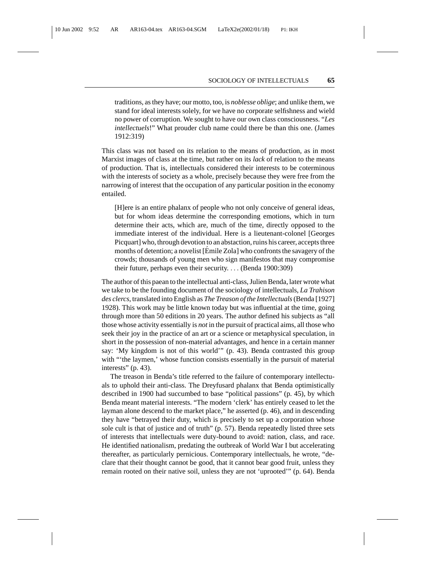traditions, as they have; our motto, too, is *noblesse oblige*; and unlike them, we stand for ideal interests solely, for we have no corporate selfishness and wield no power of corruption. We sought to have our own class consciousness. "*Les intellectuels*!" What prouder club name could there be than this one. (James 1912:319)

This class was not based on its relation to the means of production, as in most Marxist images of class at the time, but rather on its *lack* of relation to the means of production. That is, intellectuals considered their interests to be coterminous with the interests of society as a whole, precisely because they were free from the narrowing of interest that the occupation of any particular position in the economy entailed.

[H]ere is an entire phalanx of people who not only conceive of general ideas, but for whom ideas determine the corresponding emotions, which in turn determine their acts, which are, much of the time, directly opposed to the immediate interest of the individual. Here is a lieutenant-colonel [Georges Picquart] who, through devotion to an abstaction, ruins his career, accepts three months of detention; a novelist [Émile Zola] who confronts the savagery of the crowds; thousands of young men who sign manifestos that may compromise their future, perhaps even their security. ... (Benda 1900:309)

The author of this paean to the intellectual anti-class, Julien Benda, later wrote what we take to be the founding document of the sociology of intellectuals, *La Trahison des clercs*, translated into English as *The Treason of the Intellectuals*(Benda [1927] 1928). This work may be little known today but was influential at the time, going through more than 50 editions in 20 years. The author defined his subjects as "all those whose activity essentially is *not* in the pursuit of practical aims, all those who seek their joy in the practice of an art or a science or metaphysical speculation, in short in the possession of non-material advantages, and hence in a certain manner say: 'My kingdom is not of this world'" (p. 43). Benda contrasted this group with "'the laymen,' whose function consists essentially in the pursuit of material interests" (p. 43).

The treason in Benda's title referred to the failure of contemporary intellectuals to uphold their anti-class. The Dreyfusard phalanx that Benda optimistically described in 1900 had succumbed to base "political passions" (p. 45), by which Benda meant material interests. "The modern 'clerk' has entirely ceased to let the layman alone descend to the market place," he asserted (p. 46), and in descending they have "betrayed their duty, which is precisely to set up a corporation whose sole cult is that of justice and of truth" (p. 57). Benda repeatedly listed three sets of interests that intellectuals were duty-bound to avoid: nation, class, and race. He identified nationalism, predating the outbreak of World War I but accelerating thereafter, as particularly pernicious. Contemporary intellectuals, he wrote, "declare that their thought cannot be good, that it cannot bear good fruit, unless they remain rooted on their native soil, unless they are not 'uprooted'" (p. 64). Benda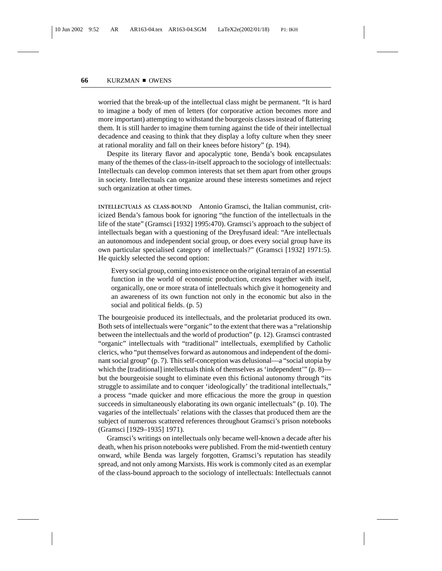worried that the break-up of the intellectual class might be permanent. "It is hard to imagine a body of men of letters (for corporative action becomes more and more important) attempting to withstand the bourgeois classes instead of flattering them. It is still harder to imagine them turning against the tide of their intellectual decadence and ceasing to think that they display a lofty culture when they sneer at rational morality and fall on their knees before history" (p. 194).

Despite its literary flavor and apocalyptic tone, Benda's book encapsulates many of the themes of the class-in-itself approach to the sociology of intellectuals: Intellectuals can develop common interests that set them apart from other groups in society. Intellectuals can organize around these interests sometimes and reject such organization at other times.

**INTELLECTUALS AS CLASS-BOUND** Antonio Gramsci, the Italian communist, criticized Benda's famous book for ignoring "the function of the intellectuals in the life of the state" (Gramsci [1932] 1995:470). Gramsci's approach to the subject of intellectuals began with a questioning of the Dreyfusard ideal: "Are intellectuals an autonomous and independent social group, or does every social group have its own particular specialised category of intellectuals?" (Gramsci [1932] 1971:5). He quickly selected the second option:

Every social group, coming into existence on the original terrain of an essential function in the world of economic production, creates together with itself, organically, one or more strata of intellectuals which give it homogeneity and an awareness of its own function not only in the economic but also in the social and political fields. (p. 5)

The bourgeoisie produced its intellectuals, and the proletariat produced its own. Both sets of intellectuals were "organic" to the extent that there was a "relationship between the intellectuals and the world of production" (p. 12). Gramsci contrasted "organic" intellectuals with "traditional" intellectuals, exemplified by Catholic clerics, who "put themselves forward as autonomous and independent of the dominant social group" (p. 7). This self-conception was delusional—a "social utopia by which the [traditional] intellectuals think of themselves as 'independent'"  $(p, 8)$  but the bourgeoisie sought to eliminate even this fictional autonomy through "its struggle to assimilate and to conquer 'ideologically' the traditional intellectuals," a process "made quicker and more efficacious the more the group in question succeeds in simultaneously elaborating its own organic intellectuals" (p. 10). The vagaries of the intellectuals' relations with the classes that produced them are the subject of numerous scattered references throughout Gramsci's prison notebooks (Gramsci [1929–1935] 1971).

Gramsci's writings on intellectuals only became well-known a decade after his death, when his prison notebooks were published. From the mid-twentieth century onward, while Benda was largely forgotten, Gramsci's reputation has steadily spread, and not only among Marxists. His work is commonly cited as an exemplar of the class-bound approach to the sociology of intellectuals: Intellectuals cannot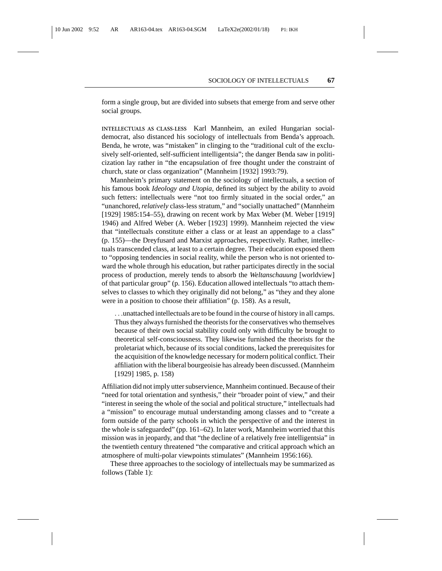form a single group, but are divided into subsets that emerge from and serve other social groups.

**INTELLECTUALS AS CLASS-LESS** Karl Mannheim, an exiled Hungarian socialdemocrat, also distanced his sociology of intellectuals from Benda's approach. Benda, he wrote, was "mistaken" in clinging to the "traditional cult of the exclusively self-oriented, self-sufficient intelligentsia"; the danger Benda saw in politicization lay rather in "the encapsulation of free thought under the constraint of church, state or class organization" (Mannheim [1932] 1993:79).

Mannheim's primary statement on the sociology of intellectuals, a section of his famous book *Ideology and Utopia*, defined its subject by the ability to avoid such fetters: intellectuals were "not too firmly situated in the social order," an "unanchored, *relatively* class-less stratum," and "socially unattached" (Mannheim [1929] 1985:154–55), drawing on recent work by Max Weber (M. Weber [1919] 1946) and Alfred Weber (A. Weber [1923] 1999). Mannheim rejected the view that "intellectuals constitute either a class or at least an appendage to a class" (p. 155)—the Dreyfusard and Marxist approaches, respectively. Rather, intellectuals transcended class, at least to a certain degree. Their education exposed them to "opposing tendencies in social reality, while the person who is not oriented toward the whole through his education, but rather participates directly in the social process of production, merely tends to absorb the *Weltanschauung* [worldview] of that particular group" (p. 156). Education allowed intellectuals "to attach themselves to classes to which they originally did not belong," as "they and they alone were in a position to choose their affiliation" (p. 158). As a result,

...unattached intellectuals are to be found in the course of history in all camps. Thus they always furnished the theorists for the conservatives who themselves because of their own social stability could only with difficulty be brought to theoretical self-consciousness. They likewise furnished the theorists for the proletariat which, because of its social conditions, lacked the prerequisites for the acquisition of the knowledge necessary for modern political conflict. Their affiliation with the liberal bourgeoisie has already been discussed. (Mannheim [1929] 1985, p. 158)

Affiliation did not imply utter subservience, Mannheim continued. Because of their "need for total orientation and synthesis," their "broader point of view," and their "interest in seeing the whole of the social and political structure," intellectuals had a "mission" to encourage mutual understanding among classes and to "create a form outside of the party schools in which the perspective of and the interest in the whole is safeguarded" (pp. 161–62). In later work, Mannheim worried that this mission was in jeopardy, and that "the decline of a relatively free intelligentsia" in the twentieth century threatened "the comparative and critical approach which an atmosphere of multi-polar viewpoints stimulates" (Mannheim 1956:166).

These three approaches to the sociology of intellectuals may be summarized as follows (Table 1):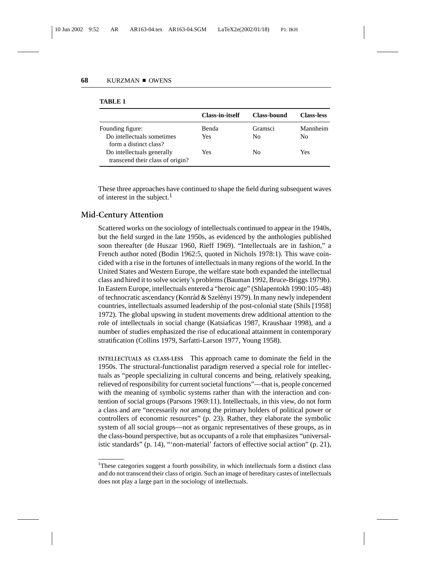|                                                                | <b>Class-in-itself</b> | Class-bound | <b>Class-less</b> |
|----------------------------------------------------------------|------------------------|-------------|-------------------|
| Founding figure:                                               | Benda                  | Gramsci     | Mannheim          |
| Do intellectuals sometimes<br>form a distinct class?           | Yes                    | Nο          | No                |
| Do intellectuals generally<br>transcend their class of origin? | Yes                    | No          | Yes               |

#### **TABLE 1**

These three approaches have continued to shape the field during subsequent waves of interest in the subject.<sup>1</sup>

## **Mid-Century Attention**

Scattered works on the sociology of intellectuals continued to appear in the 1940s, but the field surged in the late 1950s, as evidenced by the anthologies published soon thereafter (de Huszar 1960, Rieff 1969). "Intellectuals are in fashion," a French author noted (Bodin 1962:5, quoted in Nichols 1978:1). This wave coincided with a rise in the fortunes of intellectuals in many regions of the world. In the United States and Western Europe, the welfare state both expanded the intellectual class and hired it to solve society's problems (Bauman 1992, Bruce-Briggs 1979b). In Eastern Europe, intellectuals entered a "heroic age" (Shlapentokh 1990:105–48) of technocratic ascendancy (Konrád & Szelényi 1979). In many newly independent countries, intellectuals assumed leadership of the post-colonial state (Shils [1958] 1972). The global upswing in student movements drew additional attention to the role of intellectuals in social change (Katsiaficas 1987, Kraushaar 1998), and a number of studies emphasized the rise of educational attainment in contemporary stratification (Collins 1979, Sarfatti-Larson 1977, Young 1958).

**INTELLECTUALS AS CLASS-LESS** This approach came to dominate the field in the 1950s. The structural-functionalist paradigm reserved a special role for intellectuals as "people specializing in cultural concerns and being, relatively speaking, relieved of responsibility for current societal functions"—that is, people concerned with the meaning of symbolic systems rather than with the interaction and contention of social groups (Parsons 1969:11). Intellectuals, in this view, do not form a class and are "necessarily *not* among the primary holders of political power or controllers of economic resources" (p. 23). Rather, they elaborate the symbolic system of all social groups—not as organic representatives of these groups, as in the class-bound perspective, but as occupants of a role that emphasizes "universalistic standards" (p. 14), "'non-material' factors of effective social action" (p. 21),

<sup>&</sup>lt;sup>1</sup>These categories suggest a fourth possibility, in which intellectuals form a distinct class and do not transcend their class of origin. Such an image of hereditary castes of intellectuals does not play a large part in the sociology of intellectuals.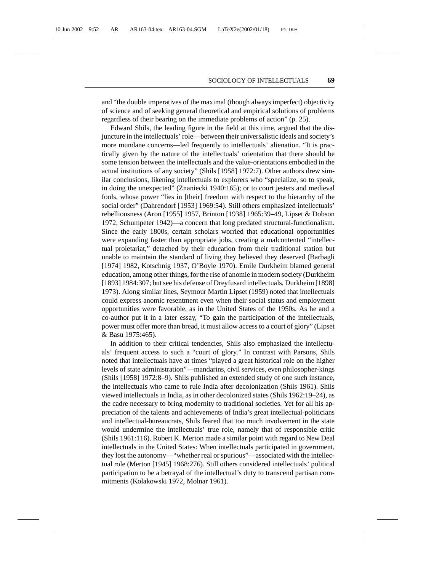and "the double imperatives of the maximal (though always imperfect) objectivity of science and of seeking general theoretical and empirical solutions of problems regardless of their bearing on the immediate problems of action" (p. 25).

Edward Shils, the leading figure in the field at this time, argued that the disjuncture in the intellectuals' role—between their universalistic ideals and society's more mundane concerns—led frequently to intellectuals' alienation. "It is practically given by the nature of the intellectuals' orientation that there should be some tension between the intellectuals and the value-orientations embodied in the actual institutions of any society" (Shils [1958] 1972:7). Other authors drew similar conclusions, likening intellectuals to explorers who "specialize, so to speak, in doing the unexpected" (Znaniecki 1940:165); or to court jesters and medieval fools, whose power "lies in [their] freedom with respect to the hierarchy of the social order" (Dahrendorf [1953] 1969:54). Still others emphasized intellectuals' rebelliousness (Aron [1955] 1957, Brinton [1938] 1965:39–49, Lipset & Dobson 1972, Schumpeter 1942)—a concern that long predated structural-functionalism. Since the early 1800s, certain scholars worried that educational opportunities were expanding faster than appropriate jobs, creating a malcontented "intellectual proletariat," detached by their education from their traditional station but unable to maintain the standard of living they believed they deserved (Barbagli [1974] 1982, Kotschnig 1937, O'Boyle 1970). Emile Durkheim blamed general education, among other things, for the rise of anomie in modern society (Durkheim [1893] 1984:307; but see his defense of Dreyfusard intellectuals, Durkheim [1898] 1973). Along similar lines, Seymour Martin Lipset (1959) noted that intellectuals could express anomic resentment even when their social status and employment opportunities were favorable, as in the United States of the 1950s. As he and a co-author put it in a later essay, "To gain the participation of the intellectuals, power must offer more than bread, it must allow access to a court of glory" (Lipset & Basu 1975:465).

In addition to their critical tendencies, Shils also emphasized the intellectuals' frequent access to such a "court of glory." In contrast with Parsons, Shils noted that intellectuals have at times "played a great historical role on the higher levels of state administration"—mandarins, civil services, even philosopher-kings (Shils [1958] 1972:8–9). Shils published an extended study of one such instance, the intellectuals who came to rule India after decolonization (Shils 1961). Shils viewed intellectuals in India, as in other decolonized states (Shils 1962:19–24), as the cadre necessary to bring modernity to traditional societies. Yet for all his appreciation of the talents and achievements of India's great intellectual-politicians and intellectual-bureaucrats, Shils feared that too much involvement in the state would undermine the intellectuals' true role, namely that of responsible critic (Shils 1961:116). Robert K. Merton made a similar point with regard to New Deal intellectuals in the United States: When intellectuals participated in government, they lost the autonomy—"whether real or spurious"—associated with the intellectual role (Merton [1945] 1968:276). Still others considered intellectuals' political participation to be a betrayal of the intellectual's duty to transcend partisan commitments (Kołakowski 1972, Molnar 1961).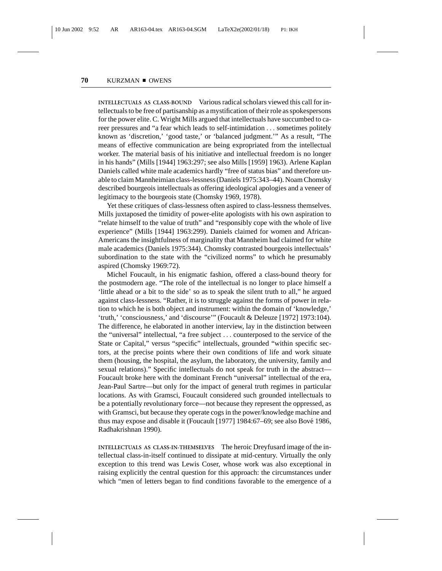**INTELLECTUALS AS CLASS-BOUND** Various radical scholars viewed this call for intellectuals to be free of partisanship as a mystification of their role as spokespersons for the power elite. C. Wright Mills argued that intellectuals have succumbed to career pressures and "a fear which leads to self-intimidation ... sometimes politely known as 'discretion,' 'good taste,' or 'balanced judgment.'" As a result, "The means of effective communication are being expropriated from the intellectual worker. The material basis of his initiative and intellectual freedom is no longer in his hands" (Mills [1944] 1963:297; see also Mills [1959] 1963). Arlene Kaplan Daniels called white male academics hardly "free of status bias" and therefore unable to claim Mannheimian class-lessness (Daniels 1975:343–44). Noam Chomsky described bourgeois intellectuals as offering ideological apologies and a veneer of legitimacy to the bourgeois state (Chomsky 1969, 1978).

Yet these critiques of class-lessness often aspired to class-lessness themselves. Mills juxtaposed the timidity of power-elite apologists with his own aspiration to "relate himself to the value of truth" and "responsibly cope with the whole of live experience" (Mills [1944] 1963:299). Daniels claimed for women and African-Americans the insightfulness of marginality that Mannheim had claimed for white male academics (Daniels 1975:344). Chomsky contrasted bourgeois intellectuals' subordination to the state with the "civilized norms" to which he presumably aspired (Chomsky 1969:72).

Michel Foucault, in his enigmatic fashion, offered a class-bound theory for the postmodern age. "The role of the intellectual is no longer to place himself a 'little ahead or a bit to the side' so as to speak the silent truth to all," he argued against class-lessness. "Rather, it is to struggle against the forms of power in relation to which he is both object and instrument: within the domain of 'knowledge,' 'truth,' 'consciousness,' and 'discourse'" (Foucault & Deleuze [1972] 1973:104). The difference, he elaborated in another interview, lay in the distinction between the "universal" intellectual, "a free subject ... counterposed to the service of the State or Capital," versus "specific" intellectuals, grounded "within specific sectors, at the precise points where their own conditions of life and work situate them (housing, the hospital, the asylum, the laboratory, the university, family and sexual relations)." Specific intellectuals do not speak for truth in the abstract— Foucault broke here with the dominant French "universal" intellectual of the era, Jean-Paul Sartre—but only for the impact of general truth regimes in particular locations. As with Gramsci, Foucault considered such grounded intellectuals to be a potentially revolutionary force—not because they represent the oppressed, as with Gramsci, but because they operate cogs in the power/knowledge machine and thus may expose and disable it (Foucault  $[1977] 1984:67–69$ ; see also Bové 1986, Radhakrishnan 1990).

**INTELLECTUALS AS CLASS-IN-THEMSELVES** The heroic Dreyfusard image of the intellectual class-in-itself continued to dissipate at mid-century. Virtually the only exception to this trend was Lewis Coser, whose work was also exceptional in raising explicitly the central question for this approach: the circumstances under which "men of letters began to find conditions favorable to the emergence of a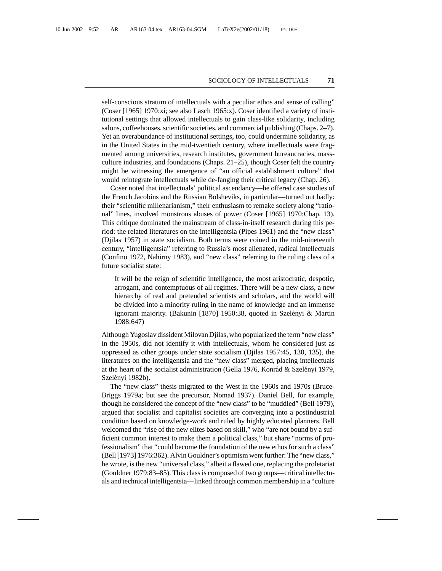self-conscious stratum of intellectuals with a peculiar ethos and sense of calling" (Coser [1965] 1970:xi; see also Lasch 1965:x). Coser identified a variety of institutional settings that allowed intellectuals to gain class-like solidarity, including salons, coffeehouses, scientific societies, and commercial publishing (Chaps. 2–7). Yet an overabundance of institutional settings, too, could undermine solidarity, as in the United States in the mid-twentieth century, where intellectuals were fragmented among universities, research institutes, government bureaucracies, massculture industries, and foundations (Chaps. 21–25), though Coser felt the country might be witnessing the emergence of "an official establishment culture" that would reintegrate intellectuals while de-fanging their critical legacy (Chap. 26).

Coser noted that intellectuals' political ascendancy—he offered case studies of the French Jacobins and the Russian Bolsheviks, in particular—turned out badly: their "scientific millenarianism," their enthusiasm to remake society along "rational" lines, involved monstrous abuses of power (Coser [1965] 1970:Chap. 13). This critique dominated the mainstream of class-in-itself research during this period: the related literatures on the intelligentsia (Pipes 1961) and the "new class" (Djilas 1957) in state socialism. Both terms were coined in the mid-nineteenth century, "intelligentsia" referring to Russia's most alienated, radical intellectuals (Confino 1972, Nahirny 1983), and "new class" referring to the ruling class of a future socialist state:

It will be the reign of scientific intelligence, the most aristocratic, despotic, arrogant, and contemptuous of all regimes. There will be a new class, a new hierarchy of real and pretended scientists and scholars, and the world will be divided into a minority ruling in the name of knowledge and an immense ignorant majority. (Bakunin [1870] 1950:38, quoted in Szelényi & Martin 1988:647)

Although Yugoslav dissident Milovan Djilas, who popularized the term "new class" in the 1950s, did not identify it with intellectuals, whom he considered just as oppressed as other groups under state socialism (Djilas 1957:45, 130, 135), the literatures on the intelligentsia and the "new class" merged, placing intellectuals at the heart of the socialist administration (Gella 1976, Konrád & Szelényi 1979, Szelényi 1982b).

The "new class" thesis migrated to the West in the 1960s and 1970s (Bruce-Briggs 1979a; but see the precursor, Nomad 1937). Daniel Bell, for example, though he considered the concept of the "new class" to be "muddled" (Bell 1979), argued that socialist and capitalist societies are converging into a postindustrial condition based on knowledge-work and ruled by highly educated planners. Bell welcomed the "rise of the new elites based on skill," who "are not bound by a sufficient common interest to make them a political class," but share "norms of professionalism" that "could become the foundation of the new ethos for such a class" (Bell [1973] 1976:362). Alvin Gouldner's optimism went further: The "new class," he wrote, is the new "universal class," albeit a flawed one, replacing the proletariat (Gouldner 1979:83–85). This class is composed of two groups—critical intellectuals and technical intelligentsia—linked through common membership in a "culture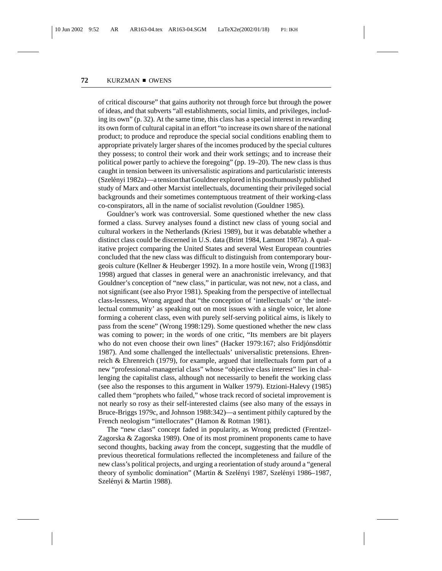of critical discourse" that gains authority not through force but through the power of ideas, and that subverts "all establishments, social limits, and privileges, including its own" (p. 32). At the same time, this class has a special interest in rewarding its own form of cultural capital in an effort "to increase its own share of the national product; to produce and reproduce the special social conditions enabling them to appropriate privately larger shares of the incomes produced by the special cultures they possess; to control their work and their work settings; and to increase their political power partly to achieve the foregoing" (pp. 19–20). The new class is thus caught in tension between its universalistic aspirations and particularistic interests (Szelényi 1982a)—a tension that Gouldner explored in his posthumously published study of Marx and other Marxist intellectuals, documenting their privileged social backgrounds and their sometimes contemptuous treatment of their working-class co-conspirators, all in the name of socialist revolution (Gouldner 1985).

Gouldner's work was controversial. Some questioned whether the new class formed a class. Survey analyses found a distinct new class of young social and cultural workers in the Netherlands (Kriesi 1989), but it was debatable whether a distinct class could be discerned in U.S. data (Brint 1984, Lamont 1987a). A qualitative project comparing the United States and several West European countries concluded that the new class was difficult to distinguish from contemporary bourgeois culture (Kellner & Heuberger 1992). In a more hostile vein, Wrong ([1983] 1998) argued that classes in general were an anachronistic irrelevancy, and that Gouldner's conception of "new class," in particular, was not new, not a class, and not significant (see also Pryor 1981). Speaking from the perspective of intellectual class-lessness, Wrong argued that "the conception of 'intellectuals' or 'the intellectual community' as speaking out on most issues with a single voice, let alone forming a coherent class, even with purely self-serving political aims, is likely to pass from the scene" (Wrong 1998:129). Some questioned whether the new class was coming to power; in the words of one critic, "Its members are bit players who do not even choose their own lines" (Hacker 1979:167; also Fridjónsdóttir 1987). And some challenged the intellectuals' universalistic pretensions. Ehrenreich & Ehrenreich (1979), for example, argued that intellectuals form part of a new "professional-managerial class" whose "objective class interest" lies in challenging the capitalist class, although not necessarily to benefit the working class (see also the responses to this argument in Walker 1979). Etzioni-Halevy (1985) called them "prophets who failed," whose track record of societal improvement is not nearly so rosy as their self-interested claims (see also many of the essays in Bruce-Briggs 1979c, and Johnson 1988:342)—a sentiment pithily captured by the French neologism "intellocrates" (Hamon & Rotman 1981).

The "new class" concept faded in popularity, as Wrong predicted (Frentzel-Zagorska & Zagorska 1989). One of its most prominent proponents came to have second thoughts, backing away from the concept, suggesting that the muddle of previous theoretical formulations reflected the incompleteness and failure of the new class's political projects, and urging a reorientation of study around a "general theory of symbolic domination" (Martin & Szelényi 1987, Szelényi 1986–1987, Szelényi & Martin 1988).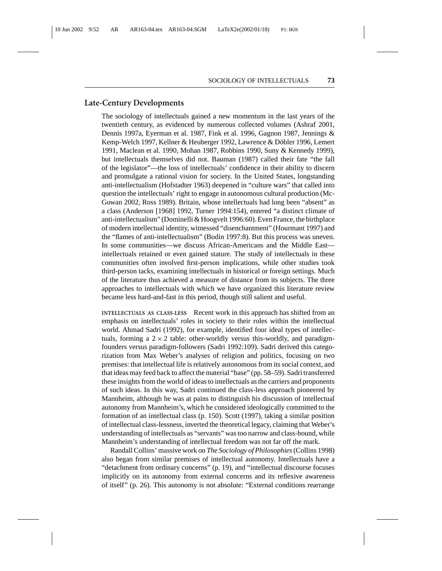## **Late-Century Developments**

The sociology of intellectuals gained a new momentum in the last years of the twentieth century, as evidenced by numerous collected volumes (Ashraf 2001, Dennis 1997a, Eyerman et al. 1987, Fink et al. 1996, Gagnon 1987, Jennings & Kemp-Welch 1997, Kellner & Heuberger 1992, Lawrence & Döbler 1996, Lemert 1991, Maclean et al. 1990, Mohan 1987, Robbins 1990, Suny & Kennedy 1999), but intellectuals themselves did not. Bauman (1987) called their fate "the fall of the legislator"—the loss of intellectuals' confidence in their ability to discern and promulgate a rational vision for society. In the United States, longstanding anti-intellectualism (Hofstadter 1963) deepened in "culture wars" that called into question the intellectuals' right to engage in autonomous cultural production (Mc-Gowan 2002, Ross 1989). Britain, whose intellectuals had long been "absent" as a class (Anderson [1968] 1992, Turner 1994:154), entered "a distinct climate of anti-intellectualism" (Dominelli & Hoogvelt 1996:60). Even France, the birthplace of modern intellectual identity, witnessed "disenchantment" (Hourmant 1997) and the "flames of anti-intellectualism" (Bodin 1997:8). But this process was uneven. In some communities—we discuss African-Americans and the Middle East intellectuals retained or even gained stature. The study of intellectuals in these communities often involved first-person implications, while other studies took third-person tacks, examining intellectuals in historical or foreign settings. Much of the literature thus achieved a measure of distance from its subjects. The three approaches to intellectuals with which we have organized this literature review became less hard-and-fast in this period, though still salient and useful.

**INTELLECTUALS AS CLASS-LESS** Recent work in this approach has shifted from an emphasis on intellectuals' roles in society to their roles within the intellectual world. Ahmad Sadri (1992), for example, identified four ideal types of intellectuals, forming a  $2 \times 2$  table: other-worldly versus this-worldly, and paradigmfounders versus paradigm-followers (Sadri 1992:109). Sadri derived this categorization from Max Weber's analyses of religion and politics, focusing on two premises: that intellectual life is relatively autonomous from its social context, and that ideas may feed back to affect the material "base" (pp. 58–59). Sadri transferred these insights from the world of ideas to intellectuals as the carriers and proponents of such ideas. In this way, Sadri continued the class-less approach pioneered by Mannheim, although he was at pains to distinguish his discussion of intellectual autonomy from Mannheim's, which he considered ideologically committed to the formation of an intellectual class (p. 150). Scott (1997), taking a similar position of intellectual class-lessness, inverted the theoretical legacy, claiming that Weber's understanding of intellectuals as "servants" was too narrow and class-bound, while Mannheim's understanding of intellectual freedom was not far off the mark.

Randall Collins' massive work on *The Sociology of Philosophies*(Collins 1998) also began from similar premises of intellectual autonomy. Intellectuals have a "detachment from ordinary concerns" (p. 19), and "intellectual discourse focuses implicitly on its autonomy from external concerns and its reflexive awareness of itself" (p. 26). This autonomy is not absolute: "External conditions rearrange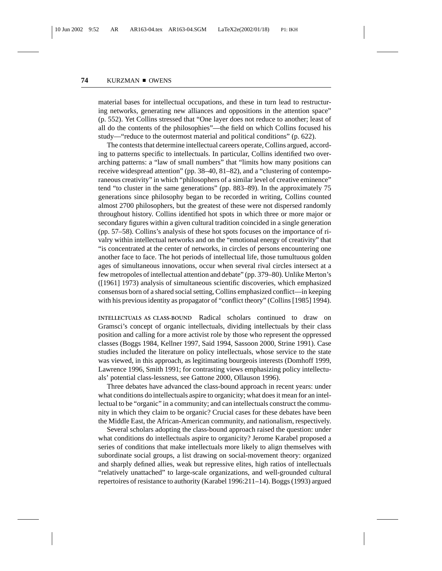material bases for intellectual occupations, and these in turn lead to restructuring networks, generating new alliances and oppositions in the attention space" (p. 552). Yet Collins stressed that "One layer does not reduce to another; least of all do the contents of the philosophies"—the field on which Collins focused his study—"reduce to the outermost material and political conditions" (p. 622).

The contests that determine intellectual careers operate, Collins argued, according to patterns specific to intellectuals. In particular, Collins identified two overarching patterns: a "law of small numbers" that "limits how many positions can receive widespread attention" (pp. 38–40, 81–82), and a "clustering of contemporaneous creativity" in which "philosophers of a similar level of creative eminence" tend "to cluster in the same generations" (pp. 883–89). In the approximately 75 generations since philosophy began to be recorded in writing, Collins counted almost 2700 philosophers, but the greatest of these were not dispersed randomly throughout history. Collins identified hot spots in which three or more major or secondary figures within a given cultural tradition coincided in a single generation (pp. 57–58). Collins's analysis of these hot spots focuses on the importance of rivalry within intellectual networks and on the "emotional energy of creativity" that "is concentrated at the center of networks, in circles of persons encountering one another face to face. The hot periods of intellectual life, those tumultuous golden ages of simultaneous innovations, occur when several rival circles intersect at a few metropoles of intellectual attention and debate" (pp. 379–80). Unlike Merton's ([1961] 1973) analysis of simultaneous scientific discoveries, which emphasized consensus born of a shared social setting, Collins emphasized conflict—in keeping with his previous identity as propagator of "conflict theory" (Collins [1985] 1994).

**INTELLECTUALS AS CLASS-BOUND** Radical scholars continued to draw on Gramsci's concept of organic intellectuals, dividing intellectuals by their class position and calling for a more activist role by those who represent the oppressed classes (Boggs 1984, Kellner 1997, Said 1994, Sassoon 2000, Strine 1991). Case studies included the literature on policy intellectuals, whose service to the state was viewed, in this approach, as legitimating bourgeois interests (Domhoff 1999, Lawrence 1996, Smith 1991; for contrasting views emphasizing policy intellectuals' potential class-lessness, see Gattone 2000, Ollauson 1996).

Three debates have advanced the class-bound approach in recent years: under what conditions do intellectuals aspire to organicity; what does it mean for an intellectual to be "organic" in a community; and can intellectuals construct the community in which they claim to be organic? Crucial cases for these debates have been the Middle East, the African-American community, and nationalism, respectively.

Several scholars adopting the class-bound approach raised the question: under what conditions do intellectuals aspire to organicity? Jerome Karabel proposed a series of conditions that make intellectuals more likely to align themselves with subordinate social groups, a list drawing on social-movement theory: organized and sharply defined allies, weak but repressive elites, high ratios of intellectuals "relatively unattached" to large-scale organizations, and well-grounded cultural repertoires of resistance to authority (Karabel 1996:211–14). Boggs (1993) argued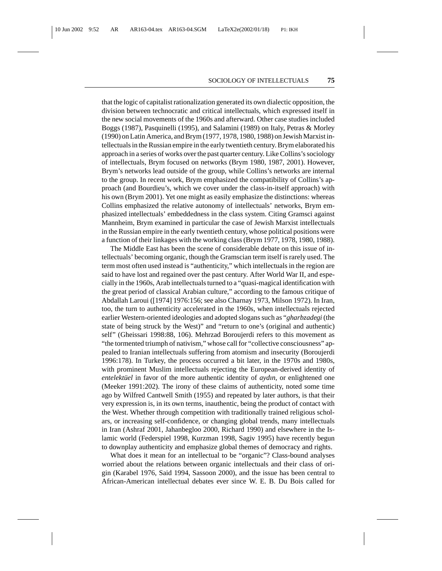that the logic of capitalist rationalization generated its own dialectic opposition, the division between technocratic and critical intellectuals, which expressed itself in the new social movements of the 1960s and afterward. Other case studies included Boggs (1987), Pasquinelli (1995), and Salamini (1989) on Italy, Petras & Morley (1990) on Latin America, and Brym (1977, 1978, 1980, 1988) on Jewish Marxist intellectuals in the Russian empire in the early twentieth century. Brym elaborated his approach in a series of works over the past quarter century. Like Collins's sociology of intellectuals, Brym focused on networks (Brym 1980, 1987, 2001). However, Brym's networks lead outside of the group, while Collins's networks are internal to the group. In recent work, Brym emphasized the compatibility of Collins's approach (and Bourdieu's, which we cover under the class-in-itself approach) with his own (Brym 2001). Yet one might as easily emphasize the distinctions: whereas Collins emphasized the relative autonomy of intellectuals' networks, Brym emphasized intellectuals' embeddedness in the class system. Citing Gramsci against Mannheim, Brym examined in particular the case of Jewish Marxist intellectuals in the Russian empire in the early twentieth century, whose political positions were a function of their linkages with the working class (Brym 1977, 1978, 1980, 1988).

The Middle East has been the scene of considerable debate on this issue of intellectuals' becoming organic, though the Gramscian term itself is rarely used. The term most often used instead is "authenticity," which intellectuals in the region are said to have lost and regained over the past century. After World War II, and especially in the 1960s, Arab intellectuals turned to a "quasi-magical identification with the great period of classical Arabian culture," according to the famous critique of Abdallah Laroui ([1974] 1976:156; see also Charnay 1973, Milson 1972). In Iran, too, the turn to authenticity accelerated in the 1960s, when intellectuals rejected earlier Western-oriented ideologies and adopted slogans such as "*gharbzadegi* (the state of being struck by the West)" and "return to one's (original and authentic) self" (Gheissari 1998:88, 106). Mehrzad Boroujerdi refers to this movement as "the tormented triumph of nativism," whose call for "collective consciousness" appealed to Iranian intellectuals suffering from atomism and insecurity (Boroujerdi 1996:178). In Turkey, the process occurred a bit later, in the 1970s and 1980s, with prominent Muslim intellectuals rejecting the European-derived identity of *entelektuel* in favor of the more authentic identity of *aydın*, or enlightened one (Meeker 1991:202). The irony of these claims of authenticity, noted some time ago by Wilfred Cantwell Smith (1955) and repeated by later authors, is that their very expression is, in its own terms, inauthentic, being the product of contact with the West. Whether through competition with traditionally trained religious scholars, or increasing self-confidence, or changing global trends, many intellectuals in Iran (Ashraf 2001, Jahanbegloo 2000, Richard 1990) and elsewhere in the Islamic world (Federspiel 1998, Kurzman 1998, Sagiv 1995) have recently begun to downplay authenticity and emphasize global themes of democracy and rights.

What does it mean for an intellectual to be "organic"? Class-bound analyses worried about the relations between organic intellectuals and their class of origin (Karabel 1976, Said 1994, Sassoon 2000), and the issue has been central to African-American intellectual debates ever since W. E. B. Du Bois called for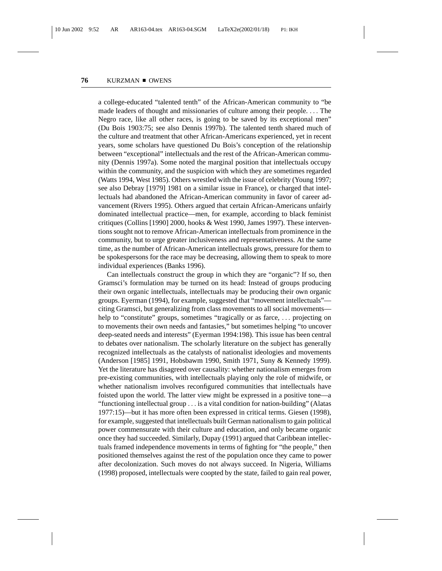a college-educated "talented tenth" of the African-American community to "be made leaders of thought and missionaries of culture among their people. ... The Negro race, like all other races, is going to be saved by its exceptional men" (Du Bois 1903:75; see also Dennis 1997b). The talented tenth shared much of the culture and treatment that other African-Americans experienced, yet in recent years, some scholars have questioned Du Bois's conception of the relationship between "exceptional" intellectuals and the rest of the African-American community (Dennis 1997a). Some noted the marginal position that intellectuals occupy within the community, and the suspicion with which they are sometimes regarded (Watts 1994, West 1985). Others wrestled with the issue of celebrity (Young 1997; see also Debray [1979] 1981 on a similar issue in France), or charged that intellectuals had abandoned the African-American community in favor of career advancement (Rivers 1995). Others argued that certain African-Americans unfairly dominated intellectual practice—men, for example, according to black feminist critiques (Collins [1990] 2000, hooks & West 1990, James 1997). These interventions sought not to remove African-American intellectuals from prominence in the community, but to urge greater inclusiveness and representativeness. At the same time, as the number of African-American intellectuals grows, pressure for them to be spokespersons for the race may be decreasing, allowing them to speak to more individual experiences (Banks 1996).

Can intellectuals construct the group in which they are "organic"? If so, then Gramsci's formulation may be turned on its head: Instead of groups producing their own organic intellectuals, intellectuals may be producing their own organic groups. Eyerman (1994), for example, suggested that "movement intellectuals" citing Gramsci, but generalizing from class movements to all social movements help to "constitute" groups, sometimes "tragically or as farce, ... projecting on to movements their own needs and fantasies," but sometimes helping "to uncover deep-seated needs and interests" (Eyerman 1994:198). This issue has been central to debates over nationalism. The scholarly literature on the subject has generally recognized intellectuals as the catalysts of nationalist ideologies and movements (Anderson [1985] 1991, Hobsbawm 1990, Smith 1971, Suny & Kennedy 1999). Yet the literature has disagreed over causality: whether nationalism emerges from pre-existing communities, with intellectuals playing only the role of midwife, or whether nationalism involves reconfigured communities that intellectuals have foisted upon the world. The latter view might be expressed in a positive tone—a "functioning intellectual group ... is a vital condition for nation-building" (Alatas 1977:15)—but it has more often been expressed in critical terms. Giesen (1998), for example, suggested that intellectuals built German nationalism to gain political power commensurate with their culture and education, and only became organic once they had succeeded. Similarly, Dupay (1991) argued that Caribbean intellectuals framed independence movements in terms of fighting for "the people," then positioned themselves against the rest of the population once they came to power after decolonization. Such moves do not always succeed. In Nigeria, Williams (1998) proposed, intellectuals were coopted by the state, failed to gain real power,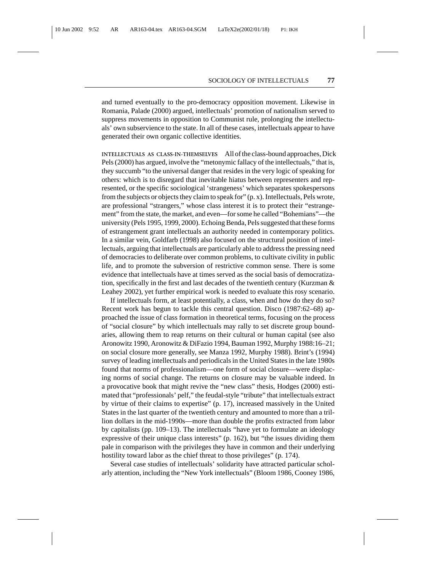and turned eventually to the pro-democracy opposition movement. Likewise in Romania, Palade (2000) argued, intellectuals' promotion of nationalism served to suppress movements in opposition to Communist rule, prolonging the intellectuals' own subservience to the state. In all of these cases, intellectuals appear to have generated their own organic collective identities.

**INTELLECTUALS AS CLASS-IN-THEMSELVES** All of the class-bound approaches, Dick Pels (2000) has argued, involve the "metonymic fallacy of the intellectuals," that is, they succumb "to the universal danger that resides in the very logic of speaking for others: which is to disregard that inevitable hiatus between representers and represented, or the specific sociological 'strangeness' which separates spokespersons from the subjects or objects they claim to speak for" (p. x). Intellectuals, Pels wrote, are professional "strangers," whose class interest it is to protect their "estrangement" from the state, the market, and even—for some he called "Bohemians"—the university (Pels 1995, 1999, 2000). Echoing Benda, Pels suggested that these forms of estrangement grant intellectuals an authority needed in contemporary politics. In a similar vein, Goldfarb (1998) also focused on the structural position of intellectuals, arguing that intellectuals are particularly able to address the pressing need of democracies to deliberate over common problems, to cultivate civility in public life, and to promote the subversion of restrictive common sense. There is some evidence that intellectuals have at times served as the social basis of democratization, specifically in the first and last decades of the twentieth century (Kurzman & Leahey 2002), yet further empirical work is needed to evaluate this rosy scenario.

If intellectuals form, at least potentially, a class, when and how do they do so? Recent work has begun to tackle this central question. Disco (1987:62–68) approached the issue of class formation in theoretical terms, focusing on the process of "social closure" by which intellectuals may rally to set discrete group boundaries, allowing them to reap returns on their cultural or human capital (see also Aronowitz 1990, Aronowitz & DiFazio 1994, Bauman 1992, Murphy 1988:16–21; on social closure more generally, see Manza 1992, Murphy 1988). Brint's (1994) survey of leading intellectuals and periodicals in the United States in the late 1980s found that norms of professionalism—one form of social closure—were displacing norms of social change. The returns on closure may be valuable indeed. In a provocative book that might revive the "new class" thesis, Hodges (2000) estimated that "professionals' pelf," the feudal-style "tribute" that intellectuals extract by virtue of their claims to expertise" (p. 17), increased massively in the United States in the last quarter of the twentieth century and amounted to more than a trillion dollars in the mid-1990s—more than double the profits extracted from labor by capitalists (pp. 109–13). The intellectuals "have yet to formulate an ideology expressive of their unique class interests" (p. 162), but "the issues dividing them pale in comparison with the privileges they have in common and their underlying hostility toward labor as the chief threat to those privileges" (p. 174).

Several case studies of intellectuals' solidarity have attracted particular scholarly attention, including the "New York intellectuals" (Bloom 1986, Cooney 1986,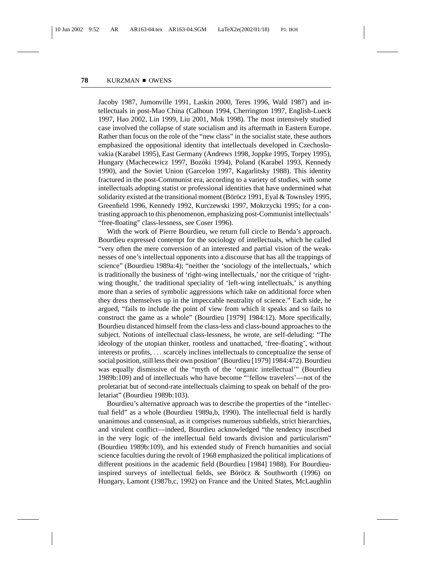Jacoby 1987, Jumonville 1991, Laskin 2000, Teres 1996, Wald 1987) and intellectuals in post-Mao China (Calhoun 1994, Cherrington 1997, English-Lueck 1997, Hao 2002, Lin 1999, Liu 2001, Mok 1998). The most intensively studied case involved the collapse of state socialism and its aftermath in Eastern Europe. Rather than focus on the role of the "new class" in the socialist state, these authors emphasized the oppositional identity that intellectuals developed in Czechoslovakia (Karabel 1995), East Germany (Andrews 1998, Joppke 1995, Torpey 1995), Hungary (Machecewicz 1997, Bozóki 1994), Poland (Karabel 1993, Kennedy 1990), and the Soviet Union (Garcelon 1997, Kagarlitsky 1988). This identity fractured in the post-Communist era, according to a variety of studies, with some intellectuals adopting statist or professional identities that have undermined what solidarity existed at the transitional moment (Böröcz 1991, Eyal  $&$  Townsley 1995, Greenfield 1996, Kennedy 1992, Kurczewski 1997, Mokrzycki 1995; for a contrasting approach to this phenomenon, emphasizing post-Communist intellectuals' "free-floating" class-lessness, see Coser 1996).

With the work of Pierre Bourdieu, we return full circle to Benda's approach. Bourdieu expressed contempt for the sociology of intellectuals, which he called "very often the mere conversion of an interested and partial vision of the weaknesses of one's intellectual opponents into a discourse that has all the trappings of science" (Bourdieu 1989a:4); "neither the 'sociology of the intellectuals,' which is traditionally the business of 'right-wing intellectuals,' nor the critique of 'rightwing thought,' the traditional speciality of 'left-wing intellectuals,' is anything more than a series of symbolic aggressions which take on additional force when they dress themselves up in the impeccable neutrality of science." Each side, he argued, "fails to include the point of view from which it speaks and so fails to construct the game as a whole" (Bourdieu [1979] 1984:12). More specifically, Bourdieu distanced himself from the class-less and class-bound approaches to the subject. Notions of intellectual class-lessness, he wrote, are self-deluding: "The ideology of the utopian thinker, rootless and unattached, 'free-floating', without interests or profits, ... scarcely inclines intellectuals to conceptualize the sense of social position, still less their own position" (Bourdieu [1979] 1984:472). Bourdieu was equally dismissive of the "myth of the 'organic intellectual'" (Bourdieu 1989b:109) and of intellectuals who have become "'fellow travelers'—not of the proletariat but of second-rate intellectuals claiming to speak on behalf of the proletariat" (Bourdieu 1989b:103).

Bourdieu's alternative approach was to describe the properties of the "intellectual field" as a whole (Bourdieu 1989a,b, 1990). The intellectual field is hardly unanimous and consensual, as it comprises numerous subfields, strict hierarchies, and virulent conflict—indeed, Bourdieu acknowledged "the tendency inscribed in the very logic of the intellectual field towards division and particularism" (Bourdieu 1989b:109), and his extended study of French humanities and social science faculties during the revolt of 1968 emphasized the political implications of different positions in the academic field (Bourdieu [1984] 1988). For Bourdieuinspired surveys of intellectual fields, see Böröcz  $&$  Southworth (1996) on Hungary, Lamont (1987b,c, 1992) on France and the United States, McLaughlin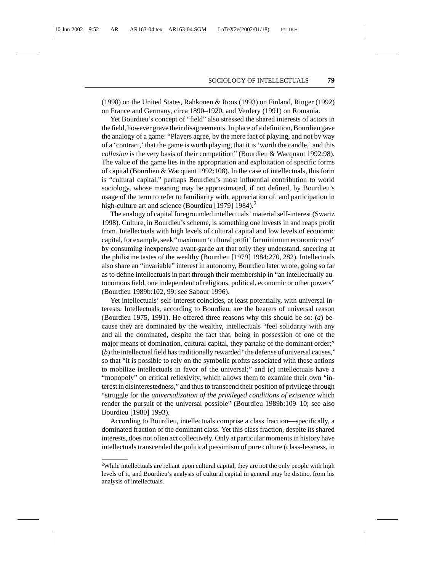(1998) on the United States, Rahkonen & Roos (1993) on Finland, Ringer (1992) on France and Germany, circa 1890–1920, and Verdery (1991) on Romania.

Yet Bourdieu's concept of "field" also stressed the shared interests of actors in the field, however grave their disagreements. In place of a definition, Bourdieu gave the analogy of a game: "Players agree, by the mere fact of playing, and not by way of a 'contract,' that the game is worth playing, that it is 'worth the candle,' and this *collusion* is the very basis of their competition" (Bourdieu & Wacquant 1992:98). The value of the game lies in the appropriation and exploitation of specific forms of capital (Bourdieu & Wacquant 1992:108). In the case of intellectuals, this form is "cultural capital," perhaps Bourdieu's most influential contribution to world sociology, whose meaning may be approximated, if not defined, by Bourdieu's usage of the term to refer to familiarity with, appreciation of, and participation in high-culture art and science (Bourdieu [1979] 1984).<sup>2</sup>

The analogy of capital foregrounded intellectuals' material self-interest (Swartz 1998). Culture, in Bourdieu's scheme, is something one invests in and reaps profit from. Intellectuals with high levels of cultural capital and low levels of economic capital, for example, seek "maximum 'cultural profit' for minimum economic cost" by consuming inexpensive avant-garde art that only they understand, sneering at the philistine tastes of the wealthy (Bourdieu [1979] 1984:270, 282). Intellectuals also share an "invariable" interest in autonomy, Bourdieu later wrote, going so far as to define intellectuals in part through their membership in "an intellectually autonomous field, one independent of religious, political, economic or other powers" (Bourdieu 1989b:102, 99; see Sabour 1996).

Yet intellectuals' self-interest coincides, at least potentially, with universal interests. Intellectuals, according to Bourdieu, are the bearers of universal reason (Bourdieu 1975, 1991). He offered three reasons why this should be so: (*a*) because they are dominated by the wealthy, intellectuals "feel solidarity with any and all the dominated, despite the fact that, being in possession of one of the major means of domination, cultural capital, they partake of the dominant order;" (*b*) the intellectual field has traditionally rewarded "the defense of universal causes," so that "it is possible to rely on the symbolic profits associated with these actions to mobilize intellectuals in favor of the universal;" and (*c*) intellectuals have a "monopoly" on critical reflexivity, which allows them to examine their own "interest in disinterestedness," and thus to transcend their position of privilege through "struggle for the *universalization of the privileged conditions of existence* which render the pursuit of the universal possible" (Bourdieu 1989b:109–10; see also Bourdieu [1980] 1993).

According to Bourdieu, intellectuals comprise a class fraction—specifically, a dominated fraction of the dominant class. Yet this class fraction, despite its shared interests, does not often act collectively. Only at particular moments in history have intellectuals transcended the political pessimism of pure culture (class-lessness, in

<sup>&</sup>lt;sup>2</sup>While intellectuals are reliant upon cultural capital, they are not the only people with high levels of it, and Bourdieu's analysis of cultural capital in general may be distinct from his analysis of intellectuals.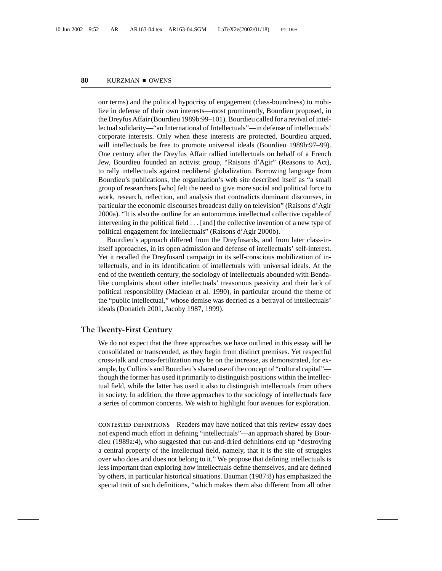our terms) and the political hypocrisy of engagement (class-boundness) to mobilize in defense of their own interests—most prominently, Bourdieu proposed, in the Dreyfus Affair (Bourdieu 1989b:99–101). Bourdieu called for a revival of intellectual solidarity—"an International of Intellectuals"—in defense of intellectuals' corporate interests. Only when these interests are protected, Bourdieu argued, will intellectuals be free to promote universal ideals (Bourdieu 1989b:97–99). One century after the Dreyfus Affair rallied intellectuals on behalf of a French Jew, Bourdieu founded an activist group, "Raisons d'Agir" (Reasons to Act), to rally intellectuals against neoliberal globalization. Borrowing language from Bourdieu's publications, the organization's web site described itself as "a small group of researchers [who] felt the need to give more social and political force to work, research, reflection, and analysis that contradicts dominant discourses, in particular the economic discourses broadcast daily on television" (Raisons d'Agir 2000a). "It is also the outline for an autonomous intellectual collective capable of intervening in the political field ... [and] the collective invention of a new type of political engagement for intellectuals" (Raisons d'Agir 2000b).

Bourdieu's approach differed from the Dreyfusards, and from later class-initself approaches, in its open admission and defense of intellectuals' self-interest. Yet it recalled the Dreyfusard campaign in its self-conscious mobilization of intellectuals, and in its identification of intellectuals with universal ideals. At the end of the twentieth century, the sociology of intellectuals abounded with Bendalike complaints about other intellectuals' treasonous passivity and their lack of political responsibility (Maclean et al. 1990), in particular around the theme of the "public intellectual," whose demise was decried as a betrayal of intellectuals' ideals (Donatich 2001, Jacoby 1987, 1999).

## **The Twenty-First Century**

We do not expect that the three approaches we have outlined in this essay will be consolidated or transcended, as they begin from distinct premises. Yet respectful cross-talk and cross-fertilization may be on the increase, as demonstrated, for example, by Collins's and Bourdieu's shared use of the concept of "cultural capital" though the former has used it primarily to distinguish positions within the intellectual field, while the latter has used it also to distinguish intellectuals from others in society. In addition, the three approaches to the sociology of intellectuals face a series of common concerns. We wish to highlight four avenues for exploration.

**CONTESTED DEFINITIONS** Readers may have noticed that this review essay does not expend much effort in defining "intellectuals"—an approach shared by Bourdieu (1989a:4), who suggested that cut-and-dried definitions end up "destroying a central property of the intellectual field, namely, that it is the site of struggles over who does and does not belong to it." We propose that defining intellectuals is less important than exploring how intellectuals define themselves, and are defined by others, in particular historical situations. Bauman (1987:8) has emphasized the special trait of such definitions, "which makes them also different from all other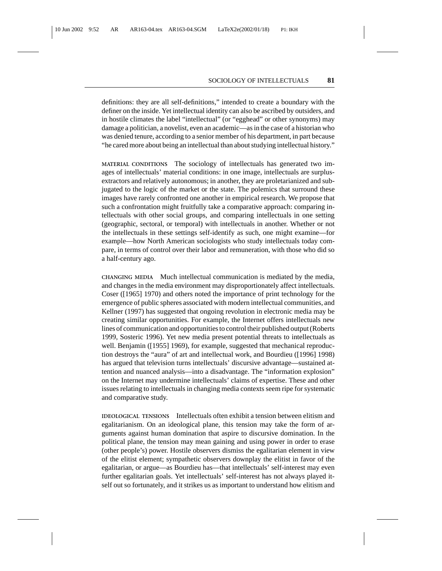definitions: they are all self-definitions," intended to create a boundary with the definer on the inside. Yet intellectual identity can also be ascribed by outsiders, and in hostile climates the label "intellectual" (or "egghead" or other synonyms) may damage a politician, a novelist, even an academic—as in the case of a historian who was denied tenure, according to a senior member of his department, in part because "he cared more about being an intellectual than about studying intellectual history."

**MATERIAL CONDITIONS** The sociology of intellectuals has generated two images of intellectuals' material conditions: in one image, intellectuals are surplusextractors and relatively autonomous; in another, they are proletarianized and subjugated to the logic of the market or the state. The polemics that surround these images have rarely confronted one another in empirical research. We propose that such a confrontation might fruitfully take a comparative approach: comparing intellectuals with other social groups, and comparing intellectuals in one setting (geographic, sectoral, or temporal) with intellectuals in another. Whether or not the intellectuals in these settings self-identify as such, one might examine—for example—how North American sociologists who study intellectuals today compare, in terms of control over their labor and remuneration, with those who did so a half-century ago.

**CHANGING MEDIA** Much intellectual communication is mediated by the media, and changes in the media environment may disproportionately affect intellectuals. Coser ([1965] 1970) and others noted the importance of print technology for the emergence of public spheres associated with modern intellectual communities, and Kellner (1997) has suggested that ongoing revolution in electronic media may be creating similar opportunities. For example, the Internet offers intellectuals new lines of communication and opportunities to control their published output (Roberts 1999, Sosteric 1996). Yet new media present potential threats to intellectuals as well. Benjamin ([1955] 1969), for example, suggested that mechanical reproduction destroys the "aura" of art and intellectual work, and Bourdieu ([1996] 1998) has argued that television turns intellectuals' discursive advantage—sustained attention and nuanced analysis—into a disadvantage. The "information explosion" on the Internet may undermine intellectuals' claims of expertise. These and other issues relating to intellectuals in changing media contexts seem ripe for systematic and comparative study.

**IDEOLOGICAL TENSIONS** Intellectuals often exhibit a tension between elitism and egalitarianism. On an ideological plane, this tension may take the form of arguments against human domination that aspire to discursive domination. In the political plane, the tension may mean gaining and using power in order to erase (other people's) power. Hostile observers dismiss the egalitarian element in view of the elitist element; sympathetic observers downplay the elitist in favor of the egalitarian, or argue—as Bourdieu has—that intellectuals' self-interest may even further egalitarian goals. Yet intellectuals' self-interest has not always played itself out so fortunately, and it strikes us as important to understand how elitism and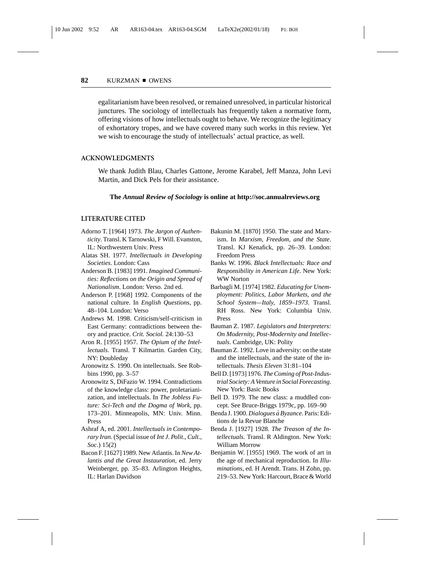egalitarianism have been resolved, or remained unresolved, in particular historical junctures. The sociology of intellectuals has frequently taken a normative form, offering visions of how intellectuals ought to behave. We recognize the legitimacy of exhortatory tropes, and we have covered many such works in this review. Yet we wish to encourage the study of intellectuals' actual practice, as well.

#### **ACKNOWLEDGMENTS**

We thank Judith Blau, Charles Gattone, Jerome Karabel, Jeff Manza, John Levi Martin, and Dick Pels for their assistance.

### **The** *Annual Review of Sociology* **is online at http://soc.annualreviews.org**

#### **LITERATURE CITED**

- Adorno T. [1964] 1973. *The Jargon of Authenticity*. Transl. K Tarnowski, F Will. Evanston, IL: Northwestern Univ. Press
- Alatas SH. 1977. *Intellectuals in Developing Societies*. London: Cass
- Anderson B. [1983] 1991. *Imagined Communities: Reflections on the Origin and Spread of Nationalism*. London: Verso. 2nd ed.
- Anderson P. [1968] 1992. Components of the national culture. In *English Questions*, pp. 48–104. London: Verso
- Andrews M. 1998. Criticism/self-criticism in East Germany: contradictions between theory and practice. *Crit. Sociol.* 24:130–53
- Aron R. [1955] 1957. *The Opium of the Intellectuals*. Transl. T Kilmartin. Garden City, NY: Doubleday
- Aronowitz S. 1990. On intellectuals. See Robbins 1990, pp. 3–57
- Aronowitz S, DiFazio W. 1994. Contradictions of the knowledge class: power, proletarianization, and intellectuals. In *The Jobless Future: Sci-Tech and the Dogma of Work*, pp. 173–201. Minneapolis, MN: Univ. Minn. Press
- Ashraf A, ed. 2001. *Intellectuals in Contemporary Iran*. (Special issue of *Int J*. *Polit*., *Cult*., *Soc*.) 15(2)
- Bacon F. [1627] 1989. New Atlantis. In *New Atlantis and the Great Instauration*, ed. Jerry Weinberger, pp. 35–83. Arlington Heights, IL: Harlan Davidson
- Bakunin M. [1870] 1950. The state and Marxism. In *Marxism, Freedom, and the State*. Transl. KJ Kenafick, pp. 26–39. London: Freedom Press
- Banks W. 1996. *Black Intellectuals: Race and Responsibility in American Life*. New York: WW Norton
- Barbagli M. [1974] 1982. *Educating for Unemployment: Politics, Labor Markets, and the School System—Italy, 1859–1973*. Transl. RH Ross. New York: Columbia Univ. Press
- Bauman Z. 1987. *Legislators and Interpreters: On Modernity, Post-Modernity and Intellectuals*. Cambridge, UK: Polity
- Bauman Z. 1992. Love in adversity: on the state and the intellectuals, and the state of the intellectuals. *Thesis Eleven* 31:81–104
- Bell D. [1973] 1976. *The Coming of Post-Industrial Society: A Venture in Social Forecasting*. New York: Basic Books
- Bell D. 1979. The new class: a muddled concept. See Bruce-Briggs 1979c, pp. 169–90
- Benda J. 1900. *Dialogues a Byzance `* . Paris: Editions de la Revue Blanche
- Benda J. [1927] 1928. *The Treason of the Intellectuals.* Transl. R Aldington. New York: William Morrow
- Benjamin W. [1955] 1969. The work of art in the age of mechanical reproduction. In *Illuminations*, ed. H Arendt. Trans. H Zohn, pp. 219–53. New York: Harcourt, Brace & World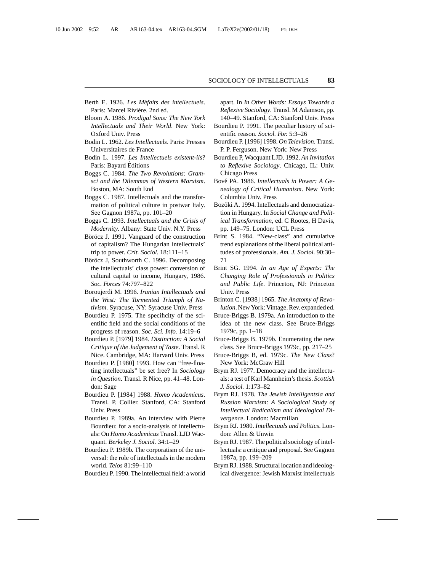- Berth E. 1926. *Les Méfaits des intellectuels*. Paris: Marcel Rivière. 2nd ed.
- Bloom A. 1986. *Prodigal Sons: The New York Intellectuals and Their World*. New York: Oxford Univ. Press
- Bodin L. 1962. *Les Intellectuels*. Paris: Presses Universitaires de France
- Bodin L. 1997. *Les Intellectuels existent-ils*? Paris: Bayard Editions ´
- Boggs C. 1984. *The Two Revolutions: Gramsci and the Dilemmas of Western Marxism*. Boston, MA: South End
- Boggs C. 1987. Intellectuals and the transformation of political culture in postwar Italy. See Gagnon 1987a, pp. 101–20
- Boggs C. 1993. *Intellectuals and the Crisis of Modernity*. Albany: State Univ. N.Y. Press
- Böröcz J. 1991. Vanguard of the construction of capitalism? The Hungarian intellectuals' trip to power. *Crit. Sociol.* 18:111–15
- Böröcz J, Southworth C. 1996. Decomposing the intellectuals' class power: conversion of cultural capital to income, Hungary, 1986. *Soc. Forces* 74:797–822
- Boroujerdi M. 1996. *Iranian Intellectuals and the West: The Tormented Triumph of Nativism*. Syracuse, NY: Syracuse Univ. Press
- Bourdieu P. 1975. The specificity of the scientific field and the social conditions of the progress of reason. *Soc. Sci. Info.* 14:19–6
- Bourdieu P. [1979] 1984. *Distinction: A Social Critique of the Judgement of Taste*. Transl. R Nice. Cambridge, MA: Harvard Univ. Press
- Bourdieu P. [1980] 1993. How can "free-floating intellectuals" be set free? In *Sociology in Question*. Transl. R Nice, pp. 41–48. London: Sage
- Bourdieu P. [1984] 1988. *Homo Academicus*. Transl. P. Collier. Stanford, CA: Stanford Univ. Press
- Bourdieu P. 1989a. An interview with Pierre Bourdieu: for a socio-analysis of intellectuals: On *Homo Academicus* Transl. LJD Wacquant. *Berkeley J. Sociol.* 34:1–29
- Bourdieu P. 1989b. The corporatism of the universal: the role of intellectuals in the modern world. *Telos* 81:99–110
- Bourdieu P. 1990. The intellectual field: a world

apart. In *In Other Words: Essays Towards a Reflexive Sociology*. Transl. M Adamson, pp. 140–49. Stanford, CA: Stanford Univ. Press

- Bourdieu P. 1991. The peculiar history of scientific reason. *Sociol. For.* 5:3–26
- Bourdieu P. [1996] 1998. *On Television*. Transl. P. P. Ferguson. New York: New Press
- Bourdieu P, Wacquant LJD. 1992. *An Invitation to Reflexive Sociology*. Chicago, IL: Univ. Chicago Press
- Bov´e PA. 1986. *Intellectuals in Power: A Genealogy of Critical Humanism*. New York: Columbia Univ. Press
- Bozóki A. 1994. Intellectuals and democratization in Hungary. In *Social Change and Political Transformation*, ed. C Rootes, H Davis, pp. 149–75. London: UCL Press
- Brint S. 1984. "New-class" and cumulative trend explanations of the liberal political attitudes of professionals. *Am. J. Sociol.* 90:30– 71
- Brint SG. 1994. *In an Age of Experts: The Changing Role of Professionals in Politics and Public Life*. Princeton, NJ: Princeton Univ. Press
- Brinton C. [1938] 1965. *The Anatomy of Revolution*. New York: Vintage. Rev. expanded ed.
- Bruce-Briggs B. 1979a. An introduction to the idea of the new class. See Bruce-Briggs 1979c, pp. 1–18
- Bruce-Briggs B. 1979b. Enumerating the new class. See Bruce-Briggs 1979c, pp. 217–25
- Bruce-Briggs B, ed. 1979c. *The New Class*? New York: McGraw Hill
- Brym RJ. 1977. Democracy and the intellectuals: a test of Karl Mannheim's thesis. *Scottish J. Sociol.* 1:173–82
- Brym RJ. 1978. *The Jewish Intelligentsia and Russian Marxism: A Sociological Study of Intellectual Radicalism and Ideological Divergence*. London: Macmillan
- Brym RJ. 1980. *Intellectuals and Politics*. London: Allen & Unwin
- Brym RJ. 1987. The political sociology of intellectuals: a critique and proposal. See Gagnon 1987a, pp. 199–209
- Brym RJ. 1988. Structural location and ideological divergence: Jewish Marxist intellectuals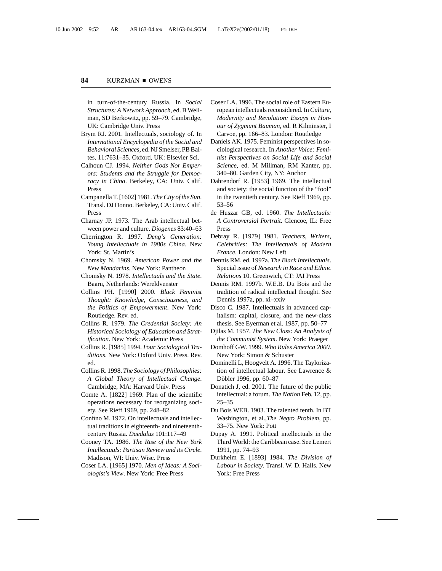in turn-of-the-century Russia. In *Social Structures: A Network Approach*, ed. B Wellman, SD Berkowitz, pp. 59–79. Cambridge, UK: Cambridge Univ. Press

- Brym RJ. 2001. Intellectuals, sociology of. In *International Encyclopedia of the Social and Behavioral Sciences*, ed. NJ Smelser, PB Baltes, 11:7631–35. Oxford, UK: Elsevier Sci.
- Calhoun CJ. 1994. *Neither Gods Nor Emperors: Students and the Struggle for Democracy in China*. Berkeley, CA: Univ. Calif. Press
- Campanella T. [1602] 1981. *The City of the Sun*. Transl. DJ Donno. Berkeley, CA: Univ. Calif. Press
- Charnay JP. 1973. The Arab intellectual between power and culture. *Diogenes* 83:40–63
- Cherrington R. 1997. *Deng's Generation: Young Intellectuals in 1980s China*. New York: St. Martin's
- Chomsky N. 1969. *American Power and the New Mandarins*. New York: Pantheon
- Chomsky N. 1978. *Intellectuals and the State*. Baarn, Netherlands: Wereldvenster
- Collins PH. [1990] 2000. *Black Feminist Thought: Knowledge, Consciousness, and the Politics of Empowerment*. New York: Routledge. Rev. ed.
- Collins R. 1979. *The Credential Society: An Historical Sociology of Education and Stratification*. New York: Academic Press
- Collins R. [1985] 1994. *Four Sociological Traditions*. New York: Oxford Univ. Press. Rev. ed.
- Collins R. 1998. *The Sociology of Philosophies: A Global Theory of Intellectual Change*. Cambridge, MA: Harvard Univ. Press
- Comte A. [1822] 1969. Plan of the scientific operations necessary for reorganizing society. See Rieff 1969, pp. 248–82
- Confino M. 1972. On intellectuals and intellectual traditions in eighteenth- and nineteenthcentury Russia. *Daedalus* 101:117–49
- Cooney TA. 1986. *The Rise of the New York Intellectuals: Partisan Review and its Circle*. Madison, WI: Univ. Wisc. Press
- Coser LA. [1965] 1970. *Men of Ideas: A Sociologist's View*. New York: Free Press
- Coser LA. 1996. The social role of Eastern European intellectuals reconsidered. In *Culture, Modernity and Revolution: Essays in Honour of Zygmunt Bauman*, ed. R Kilminster, I Carvoe, pp. 166–83. London: Routledge
- Daniels AK. 1975. Feminist perspectives in sociological research. In *Another Voice: Feminist Perspectives on Social Life and Social Science*, ed. M Millman, RM Kanter, pp. 340–80. Garden City, NY: Anchor
- Dahrendorf R. [1953] 1969. The intellectual and society: the social function of the "fool" in the twentieth century. See Rieff 1969, pp. 53–56
- de Huszar GB, ed. 1960. *The Intellectuals: A Controversial Portrait*. Glencoe, IL: Free Press
- Debray R. [1979] 1981. *Teachers, Writers, Celebrities: The Intellectuals of Modern France*. London: New Left
- Dennis RM, ed. 1997a. *The Black Intellectuals*. Special issue of *Research in Race and Ethnic Relations* 10. Greenwich, CT: JAI Press
- Dennis RM. 1997b. W.E.B. Du Bois and the tradition of radical intellectual thought. See Dennis 1997a, pp. xi–xxiv
- Disco C. 1987. Intellectuals in advanced capitalism: capital, closure, and the new-class thesis. See Eyerman et al. 1987, pp. 50–77
- Djilas M. 1957. *The New Class: An Analysis of the Communist System*. New York: Praeger
- Domhoff GW. 1999. *Who Rules America 2000*. New York: Simon & Schuster
- Dominelli L, Hoogvelt A. 1996. The Taylorization of intellectual labour. See Lawrence & Döbler 1996, pp. 60-87
- Donatich J, ed. 2001. The future of the public intellectual: a forum. *The Nation* Feb. 12, pp. 25–35
- Du Bois WEB. 1903. The talented tenth. In BT Washington, et al.,*The Negro Problem*, pp. 33–75. New York: Pott
- Dupay A. 1991. Political intellectuals in the Third World: the Caribbean case. See Lemert 1991, pp. 74–93
- Durkheim E. [1893] 1984. *The Division of Labour in Society*. Transl. W. D. Halls. New York: Free Press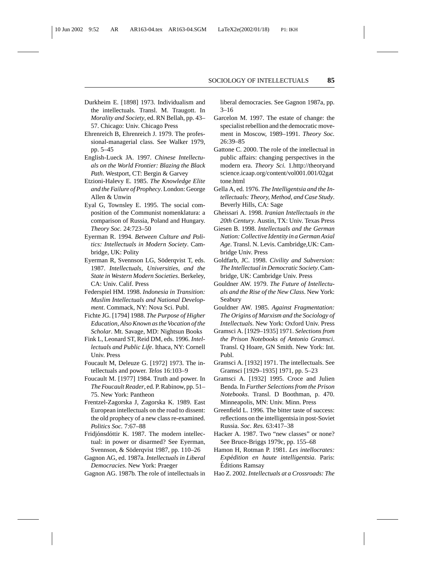- Durkheim E. [1898] 1973. Individualism and the intellectuals. Transl. M. Traugott. In *Morality and Society*, ed. RN Bellah, pp. 43– 57. Chicago: Univ. Chicago Press
- Ehrenreich B, Ehrenreich J. 1979. The professional-managerial class. See Walker 1979, pp. 5–45
- English-Lueck JA. 1997. *Chinese Intellectuals on the World Frontier: Blazing the Black Path*. Westport, CT: Bergin & Garvey
- Etzioni-Halevy E. 1985. *The Knowledge Elite and the Failure of Prophecy*. London: George Allen & Unwin
- Eyal G, Townsley E. 1995. The social composition of the Communist nomenklatura: a comparison of Russia, Poland and Hungary. *Theory Soc.* 24:723–50
- Eyerman R. 1994. *Between Culture and Politics: Intellectuals in Modern Society*. Cambridge, UK: Polity
- Eyerman R, Svennson LG, Söderqvist T, eds. 1987. *Intellectuals, Universities, and the State in Western Modern Societies*. Berkeley, CA: Univ. Calif. Press
- Federspiel HM. 1998. *Indonesia in Transition: Muslim Intellectuals and National Development*. Commack, NY: Nova Sci. Publ.
- Fichte JG. [1794] 1988. *The Purpose of Higher Education, Also Known as the Vocation of the Scholar*. Mt. Savage, MD: Nightsun Books
- Fink L, Leonard ST, Reid DM, eds. 1996. *Intellectuals and Public Life*. Ithaca, NY: Cornell Univ. Press
- Foucault M, Deleuze G. [1972] 1973. The intellectuals and power. *Telos* 16:103–9
- Foucault M. [1977] 1984. Truth and power. In *The Foucault Reader*, ed. P. Rabinow, pp. 51– 75. New York: Pantheon
- Frentzel-Zagorska J, Zagorska K. 1989. East European intellectuals on the road to dissent: the old prophecy of a new class re-examined. *Politics Soc.* 7:67–88
- Fridjónsdóttir K. 1987. The modern intellectual: in power or disarmed? See Eyerman, Svennson, & Söderqvist 1987, pp. 110–26
- Gagnon AG, ed. 1987a. *Intellectuals in Liberal Democracies*. New York: Praeger
- Gagnon AG. 1987b. The role of intellectuals in

liberal democracies. See Gagnon 1987a, pp.  $3 - 16$ 

- Garcelon M. 1997. The estate of change: the specialist rebellion and the democratic movement in Moscow, 1989–1991. *Theory Soc.* 26:39–85
- Gattone C. 2000. The role of the intellectual in public affairs: changing perspectives in the modern era. *Theory Sci.* 1.http://theoryand science.icaap.org/content/vol001.001/02gat tone.html
- Gella A, ed. 1976. *The Intelligentsia and the Intellectuals: Theory, Method, and Case Study*. Beverly Hills, CA: Sage
- Gheissari A. 1998. *Iranian Intellectuals in the 20th Century*. Austin, TX: Univ. Texas Press
- Giesen B. 1998. *Intellectuals and the German Nation: Collective Identity in a German Axial Age*. Transl. N. Levis. Cambridge,UK: Cambridge Univ. Press
- Goldfarb, JC. 1998. *Civility and Subversion: The Intellectual in Democratic Society*. Cambridge, UK: Cambridge Univ. Press
- Gouldner AW. 1979. *The Future of Intellectuals and the Rise of the New Class*. New York: Seabury
- Gouldner AW. 1985. *Against Fragmentation: The Origins of Marxism and the Sociology of Intellectuals*. New York: Oxford Univ. Press
- Gramsci A. [1929–1935] 1971. *Selections from the Prison Notebooks of Antonio Gramsci*. Transl. Q Hoare, GN Smith. New York: Int. Publ.
- Gramsci A. [1932] 1971. The intellectuals. See Gramsci [1929–1935] 1971, pp. 5–23
- Gramsci A. [1932] 1995. Croce and Julien Benda. In *Further Selections from the Prison Notebooks*. Transl. D Boothman, p. 470. Minneapolis, MN: Univ. Minn. Press
- Greenfield L. 1996. The bitter taste of success: reflections on the intelligentsia in post-Soviet Russia. *Soc. Res.* 63:417–38
- Hacker A. 1987. Two "new classes" or none? See Bruce-Briggs 1979c, pp. 155–68
- Hamon H, Rotman P. 1981. *Les intellocrates: Expedition en haute intelligentsia ´* . Paris: Editions Ramsay ´
- Hao Z. 2002. *Intellectuals at a Crossroads: The*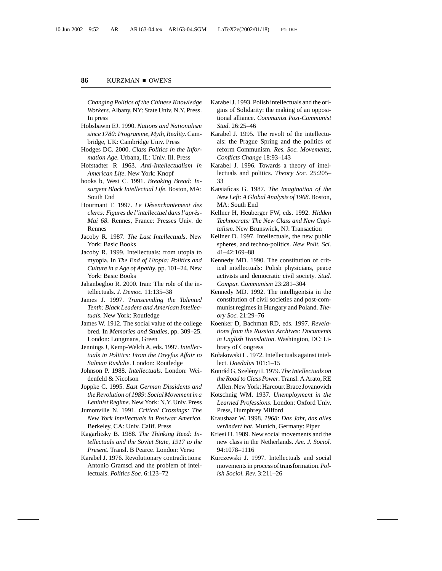*Changing Politics of the Chinese Knowledge Workers*. Albany, NY: State Univ. N.Y. Press. In press

- Hobsbawm EJ. 1990. *Nations and Nationalism since 1780: Programme, Myth, Reality*. Cambridge, UK: Cambridge Univ. Press
- Hodges DC. 2000. *Class Politics in the Information Age*. Urbana, IL: Univ. Ill. Press
- Hofstadter R 1963. *Anti-Intellectualism in American Life*. New York: Knopf
- hooks b, West C. 1991. *Breaking Bread: Insurgent Black Intellectual Life*. Boston, MA: South End
- Hourmant F. 1997. *Le Desenchantement des ´ clercs: Figures de l'intellectuel dans l'apres- ` Mai 68*. Rennes, France: Presses Univ. de Rennes
- Jacoby R. 1987. *The Last Intellectuals*. New York: Basic Books
- Jacoby R. 1999. Intellectuals: from utopia to myopia. In *The End of Utopia: Politics and Culture in a Age of Apathy*, pp. 101–24. New York: Basic Books
- Jahanbegloo R. 2000. Iran: The role of the intellectuals. *J. Democ.* 11:135–38
- James J. 1997. *Transcending the Talented Tenth: Black Leaders and American Intellectuals*. New York: Routledge
- James W. 1912. The social value of the college bred. In *Memories and Studies*, pp. 309–25. London: Longmans, Green
- Jennings J, Kemp-Welch A, eds. 1997. *Intellectuals in Politics: From the Dreyfus Affair to Salman Rushdie*. London: Routledge
- Johnson P. 1988. *Intellectuals*. London: Weidenfeld & Nicolson
- Joppke C. 1995. *East German Dissidents and the Revolution of 1989: Social Movement in a Leninist Regime*. New York: N.Y. Univ. Press
- Jumonville N. 1991. *Critical Crossings: The New York Intellectuals in Postwar America*. Berkeley, CA: Univ. Calif. Press
- Kagarlitsky B. 1988. *The Thinking Reed: Intellectuals and the Soviet State, 1917 to the Present*. Transl. B Pearce. London: Verso
- Karabel J. 1976. Revolutionary contradictions: Antonio Gramsci and the problem of intellectuals. *Politics Soc.* 6:123–72
- Karabel J. 1993. Polish intellectuals and the origins of Solidarity: the making of an oppositional alliance. *Communist Post-Communist Stud*. 26:25–46
- Karabel J. 1995. The revolt of the intellectuals: the Prague Spring and the politics of reform Communism. *Res. Soc. Movements, Conflicts Change* 18:93–143
- Karabel J. 1996. Towards a theory of intellectuals and politics. *Theory Soc.* 25:205– 33
- Katsiaficas G. 1987. *The Imagination of the New Left: A Global Analysis of 1968*. Boston, MA: South End
- Kellner H, Heuberger FW, eds. 1992. *Hidden Technocrats: The New Class and New Capitalism*. New Brunswick, NJ: Transaction
- Kellner D. 1997. Intellectuals, the new public spheres, and techno-politics. *New Polit. Sci.* 41–42:169–88
- Kennedy MD. 1990. The constitution of critical intellectuals: Polish physicians, peace activists and democratic civil society. *Stud. Compar. Communism* 23:281–304
- Kennedy MD. 1992. The intelligentsia in the constitution of civil societies and post-communist regimes in Hungary and Poland. *Theory Soc.* 21:29–76
- Koenker D, Bachman RD, eds. 1997. *Revelations from the Russian Archives: Documents in English Translation*. Washington, DC: Library of Congress
- Kołakowski L. 1972. Intellectuals against intellect. *Daedalus* 101:1–15
- Konr´ad G, Szel´enyi I. 1979. *The Intellectuals on the Road to Class Power*. Transl. A Arato, RE Allen. New York: Harcourt Brace Jovanovich
- Kotschnig WM. 1937. *Unemployment in the Learned Professions*. London: Oxford Univ. Press, Humphrey Milford
- Kraushaar W. 1998. *1968: Das Jahr, das alles verändert hat*. Munich, Germany: Piper
- Kriesi H. 1989. New social movements and the new class in the Netherlands. *Am. J. Sociol.* 94:1078–1116
- Kurczewski J. 1997. Intellectuals and social movements in process of transformation.*Polish Sociol. Rev.* 3:211–26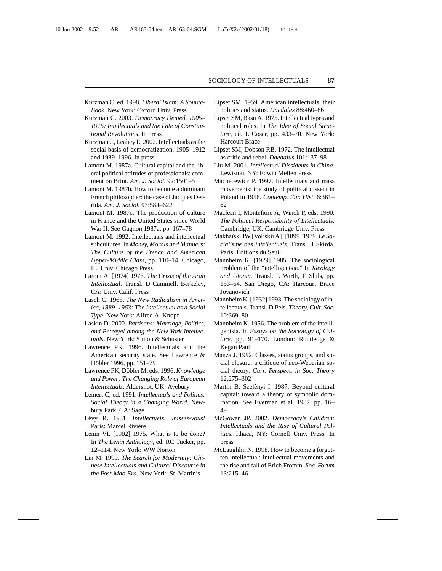- Kurzman C, ed. 1998. *Liberal Islam: A Source-Book*. New York: Oxford Univ. Press
- Kurzman C. 2003. *Democracy Denied, 1905– 1915: Intellectuals and the Fate of Constitutional Revolutions*. In press
- Kurzman C, Leahey E. 2002. Intellectuals as the social basis of democratization, 1905–1912 and 1989–1996. In press
- Lamont M. 1987a. Cultural capital and the liberal political attitudes of professionals: comment on Brint. *Am. J. Sociol.* 92:1501–5
- Lamont M. 1987b. How to become a dominant French philosopher: the case of Jacques Derrida. *Am. J. Sociol.* 93:584–622
- Lamont M. 1987c. The production of culture in France and the United States since World War II. See Gagnon 1987a, pp. 167–78
- Lamont M. 1992. Intellectuals and intellectual subcultures. In *Money, Morals and Manners: The Culture of the French and American Upper-Middle Class*, pp. 110–14. Chicago, IL: Univ. Chicago Press
- Laroui A. [1974] 1976. *The Crisis of the Arab Intellectual*. Transl. D Cammell. Berkeley, CA: Univ. Calif. Press
- Lasch C. 1965. *The New Radicalism in America, 1889–1963: The Intellectual as a Social Type*. New York: Alfred A. Knopf
- Laskin D. 2000. *Partisans: Marriage, Politics, and Betrayal among the New York Intellectuals*. New York: Simon & Schuster
- Lawrence PK. 1996. Intellectuals and the American security state. See Lawrence & Döbler 1996, pp. 151–79
- Lawrence PK, Döbler M, eds. 1996. Knowledge *and Power: The Changing Role of European Intellectuals*. Aldershot, UK: Avebury
- Lemert C, ed. 1991. *Intellectuals and Politics: Social Theory in a Changing World*. Newbury Park, CA: Sage
- L´evy R. 1931. *Intellectuels, unissez-vous!* Paris: Marcel Rivière
- Lenin VI. [1902] 1975. What is to be done? In *The Lenin Anthology*, ed. RC Tucker, pp. 12–114. New York: WW Norton
- Lin M. 1999. *The Search for Modernity: Chinese Intellectuals and Cultural Discourse in the Post-Mao Era*. New York: St. Martin's
- Lipset SM. 1959. American intellectuals: their politics and status. *Daedalus* 88:460–86
- Lipset SM, Basu A. 1975. Intellectual types and political roles. In *The Idea of Social Structure*, ed. L Coser, pp. 433–70. New York: Harcourt Brace
- Lipset SM, Dobson RB. 1972. The intellectual as critic and rebel. *Daedalus* 101:137–98
- Liu M. 2001. *Intellectual Dissidents in China*. Lewiston, NY: Edwin Mellen Press
- Machecewicz P. 1997. Intellectuals and mass movements: the study of political dissent in Poland in 1956. *Contemp. Eur. Hist.* 6:361– 82
- Maclean I, Montefiore A, Winch P, eds. 1990. *The Political Responsibility of Intellectuals*. Cambridge, UK: Cambridge Univ. Press
- Makha¨ıski JW [Vol'skii A]. [1899] 1979. *Le Socialisme des intellectuels*. Transl. J Skirda. Paris: Editions du Seuil ´
- Mannheim K. [1929] 1985. The sociological problem of the "intelligentsia." In *Ideology and Utopia.* Transl. L Wirth, E Shils, pp. 153–64. San Diego, CA: Harcourt Brace Jovanovich
- Mannheim K. [1932] 1993. The sociology of intellectuals. Transl. D Pels. *Theory, Cult. Soc.* 10:369–80
- Mannheim K. 1956. The problem of the intelligentsia. In *Essays on the Sociology of Culture*, pp. 91–170. London: Routledge & Kegan Paul
- Manza J. 1992. Classes, status groups, and social closure: a critique of neo-Weberian social theory. *Curr. Perspect. in Soc. Theory* 12:275–302
- Martin B, Szelényi I. 1987. Beyond cultural capital: toward a theory of symbolic domination. See Eyerman et al. 1987, pp. 16– 49
- McGowan JP. 2002. *Democracy's Children: Intellectuals and the Rise of Cultural Politics*. Ithaca, NY: Cornell Univ. Press. In press
- McLaughlin N. 1998. How to become a forgotten intellectual: intellectual movements and the rise and fall of Erich Fromm. *Soc. Forum* 13:215–46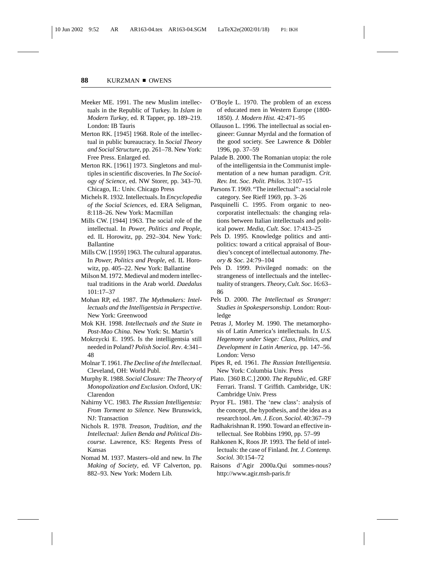- Meeker ME. 1991. The new Muslim intellectuals in the Republic of Turkey. In *Islam in Modern Turkey*, ed. R Tapper, pp. 189–219. London: IB Tauris
- Merton RK. [1945] 1968. Role of the intellectual in public bureaucracy. In *Social Theory and Social Structure*, pp. 261–78. New York: Free Press. Enlarged ed.
- Merton RK. [1961] 1973. Singletons and multiples in scientific discoveries. In *The Sociology of Science*, ed. NW Storer, pp. 343–70. Chicago, IL: Univ. Chicago Press
- Michels R. 1932. Intellectuals. In *Encyclopedia of the Social Sciences*, ed. ERA Seligman, 8:118–26. New York: Macmillan
- Mills CW. [1944] 1963. The social role of the intellectual. In *Power, Politics and People*, ed. IL Horowitz, pp. 292–304. New York: Ballantine
- Mills CW. [1959] 1963. The cultural apparatus. In *Power, Politics and People*, ed. IL Horowitz, pp. 405–22. New York: Ballantine
- Milson M. 1972. Medieval and modern intellectual traditions in the Arab world. *Daedalus* 101:17–37
- Mohan RP, ed. 1987. *The Mythmakers: Intellectuals and the Intelligentsia in Perspective*. New York: Greenwood
- Mok KH. 1998. *Intellectuals and the State in Post-Mao China*. New York: St. Martin's
- Mokrzycki E. 1995. Is the intelligentsia still needed in Poland? *Polish Sociol. Rev*. 4:341– 48
- Molnar T. 1961. *The Decline of the Intellectual*. Cleveland, OH: World Publ.
- Murphy R. 1988. *Social Closure: The Theory of Monopolization and Exclusion*. Oxford, UK: Clarendon
- Nahirny VC. 1983. *The Russian Intelligentsia: From Torment to Silence*. New Brunswick, NJ: Transaction
- Nichols R. 1978. *Treason, Tradition, and the Intellectual: Julien Benda and Political Discourse*. Lawrence, KS: Regents Press of Kansas
- Nomad M. 1937. Masters–old and new. In *The Making of Society*, ed. VF Calverton, pp. 882–93. New York: Modern Lib.
- O'Boyle L. 1970. The problem of an excess of educated men in Western Europe (1800- 1850). *J. Modern Hist.* 42:471–95
- Ollauson L. 1996. The intellectual as social engineer: Gunnar Myrdal and the formation of the good society. See Lawrence & Döbler 1996, pp. 37–59
- Palade B. 2000. The Romanian utopia: the role of the intelligentsia in the Communist implementation of a new human paradigm. *Crit. Rev. Int. Soc. Polit. Philos.* 3:107–15
- Parsons T. 1969. "The intellectual": a social role category. See Rieff 1969, pp. 3–26
- Pasquinelli C. 1995. From organic to neocorporatist intellectuals: the changing relations between Italian intellectuals and political power. *Media, Cult. Soc.* 17:413–25
- Pels D. 1995. Knowledge politics and antipolitics: toward a critical appraisal of Bourdieu's concept of intellectual autonomy. *Theory & Soc.* 24:79–104
- Pels D. 1999. Privileged nomads: on the strangeness of intellectuals and the intellectuality of strangers. *Theory, Cult. Soc.* 16:63– 86
- Pels D. 2000. *The Intellectual as Stranger: Studies in Spokespersonship*. London: Routledge
- Petras J, Morley M. 1990. The metamorphosis of Latin America's intellectuals. In *U.S. Hegemony under Siege: Class, Politics, and Development in Latin America*, pp. 147–56. London: Verso
- Pipes R, ed. 1961. *The Russian Intelligentsia*. New York: Columbia Univ. Press
- Plato. [360 B.C.] 2000. *The Republic*, ed. GRF Ferrari. Transl. T Griffith. Cambridge, UK: Cambridge Univ. Press
- Pryor FL. 1981. The 'new class': analysis of the concept, the hypothesis, and the idea as a research tool. *Am. J. Econ. Sociol.* 40:367–79
- Radhakrishnan R. 1990. Toward an effective intellectual. See Robbins 1990, pp. 57–99
- Rahkonen K, Roos JP. 1993. The field of intellectuals: the case of Finland. *Int. J. Contemp. Sociol.* 30:154–72
- Raisons d'Agir 2000a.Qui sommes-nous? http://www.agir.msh-paris.fr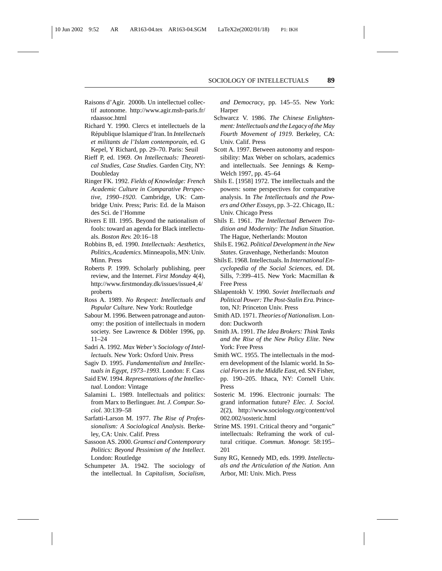- Raisons d'Agir. 2000b. Un intellectuel collectif autonome. http://www.agir.msh-paris.fr/ rdaassoc.html
- Richard Y. 1990. Clercs et intellectuels de la R´epublique Islamique d'Iran. In *Intellectuels et militants de l'Islam contemporain*, ed. G Kepel, Y Richard, pp. 29–70. Paris: Seuil
- Rieff P, ed. 1969. *On Intellectuals: Theoretical Studies, Case Studies*. Garden City, NY: Doubleday
- Ringer FK. 1992. *Fields of Knowledge: French Academic Culture in Comparative Perspective, 1990–1920*. Cambridge, UK: Cambridge Univ. Press; Paris: Ed. de la Maison des Sci. de l'Homme
- Rivers E III. 1995. Beyond the nationalism of fools: toward an agenda for Black intellectuals. *Boston Rev.* 20:16–18
- Robbins B, ed. 1990. *Intellectuals: Aesthetics, Politics, Academics*. Minneapolis, MN: Univ. Minn. Press
- Roberts P. 1999. Scholarly publishing, peer review, and the Internet. *First Monday* 4(4), http://www.firstmonday.dk/issues/issue4 4/ proberts
- Ross A. 1989. *No Respect: Intellectuals and Popular Culture*. New York: Routledge
- Sabour M. 1996. Between patronage and autonomy: the position of intellectuals in modern society. See Lawrence & Döbler 1996, pp. 11–24
- Sadri A. 1992. *Max Weber's Sociology of Intellectuals*. New York: Oxford Univ. Press
- Sagiv D. 1995. *Fundamentalism and Intellectuals in Egypt, 1973–1993*. London: F. Cass
- Said EW. 1994. *Representations of the Intellectual*. London: Vintage
- Salamini L. 1989. Intellectuals and politics: from Marx to Berlinguer. *Int. J. Compar. Sociol.* 30:139–58
- Sarfatti-Larson M. 1977. *The Rise of Professionalism: A Sociological Analysis*. Berkeley, CA: Univ. Calif. Press
- Sassoon AS. 2000. *Gramsci and Contemporary Politics: Beyond Pessimism of the Intellect*. London: Routledge
- Schumpeter JA. 1942. The sociology of the intellectual. In *Capitalism, Socialism,*

*and Democracy*, pp. 145–55. New York: Harper

- Schwarcz V. 1986. *The Chinese Enlightenment: Intellectuals and the Legacy of the May Fourth Movement of 1919*. Berkeley, CA: Univ. Calif. Press
- Scott A. 1997. Between autonomy and responsibility: Max Weber on scholars, academics and intellectuals. See Jennings & Kemp-Welch 1997, pp. 45–64
- Shils E. [1958] 1972. The intellectuals and the powers: some perspectives for comparative analysis. In *The Intellectuals and the Powers and Other Essays*, pp. 3–22. Chicago, IL: Univ. Chicago Press
- Shils E. 1961. *The Intellectual Between Tradition and Modernity: The Indian Situation*. The Hague, Netherlands: Mouton
- Shils E. 1962. *Political Development in the New States*. Gravenhage, Netherlands: Mouton
- Shils E. 1968. Intellectuals. In *International Encyclopedia of the Social Sciences*, ed. DL Sills, 7:399–415. New York: Macmillan & Free Press
- Shlapentokh V. 1990. *Soviet Intellectuals and Political Power: The Post-Stalin Era*. Princeton, NJ: Princeton Univ. Press
- Smith AD. 1971. *Theories of Nationalism.* London: Duckworth
- Smith JA. 1991. *The Idea Brokers: Think Tanks and the Rise of the New Policy Elite*. New York: Free Press
- Smith WC. 1955. The intellectuals in the modern development of the Islamic world. In *Social Forces in the Middle East*, ed. SN Fisher, pp. 190–205. Ithaca, NY: Cornell Univ. Press
- Sosteric M. 1996. Electronic journals: The grand information future? *Elec. J. Sociol.* 2(2), http://www.sociology.org/content/vol 002.002/sosteric.html
- Strine MS. 1991. Critical theory and "organic" intellectuals: Reframing the work of cultural critique. *Commun. Monogr.* 58:195– 201
- Suny RG, Kennedy MD, eds. 1999. *Intellectuals and the Articulation of the Nation*. Ann Arbor, MI: Univ. Mich. Press